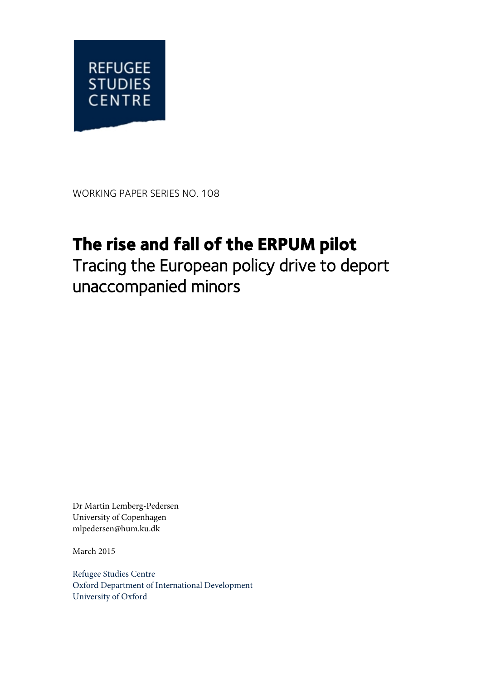

WORKING PAPER SERIES NO. 108

# **The rise and fall of the ERPUM pilot**

Tracing the European policy drive to deport unaccompanied minors

Dr Martin Lemberg-Pedersen University of Copenhagen mlpedersen@hum.ku.dk

March 2015

Refugee Studies Centre Oxford Department of International Development University of Oxford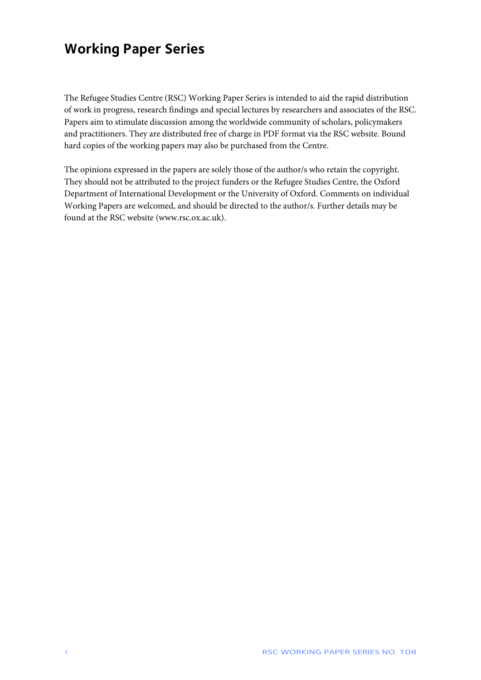### **Working Paper Series**

The Refugee Studies Centre (RSC) Working Paper Series is intended to aid the rapid distribution of work in progress, research findings and special lectures by researchers and associates of the RSC. Papers aim to stimulate discussion among the worldwide community of scholars, policymakers and practitioners. They are distributed free of charge in PDF format via the RSC website. Bound hard copies of the working papers may also be purchased from the Centre.

The opinions expressed in the papers are solely those of the author/s who retain the copyright. They should not be attributed to the project funders or the Refugee Studies Centre, the Oxford Department of International Development or the University of Oxford. Comments on individual Working Papers are welcomed, and should be directed to the author/s. Further details may be found at the RSC website (www.rsc.ox.ac.uk).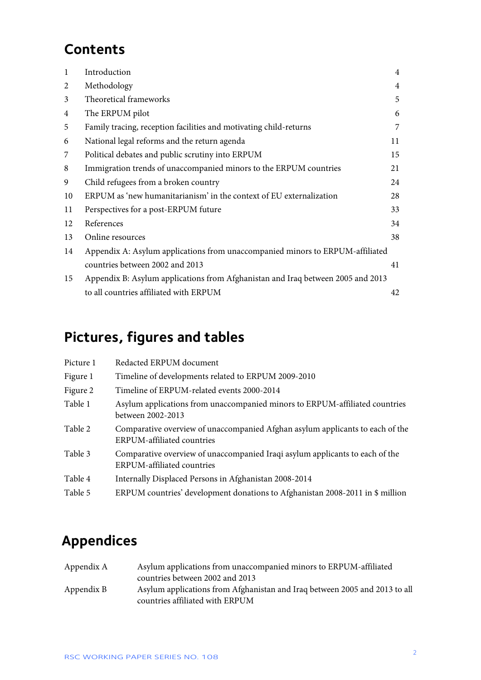# **Contents**

| $\mathbf{1}$ | Introduction                                                                    | $\overline{4}$ |
|--------------|---------------------------------------------------------------------------------|----------------|
| 2            | Methodology                                                                     | $\overline{4}$ |
| 3            | Theoretical frameworks                                                          | 5              |
| 4            | The ERPUM pilot                                                                 | 6              |
| 5            | Family tracing, reception facilities and motivating child-returns               | 7              |
| 6            | National legal reforms and the return agenda                                    | 11             |
| 7            | Political debates and public scrutiny into ERPUM                                | 15             |
| 8            | Immigration trends of unaccompanied minors to the ERPUM countries               | 21             |
| 9            | Child refugees from a broken country                                            | 24             |
| 10           | ERPUM as 'new humanitarianism' in the context of EU externalization             | 28             |
| 11           | Perspectives for a post-ERPUM future                                            | 33             |
| 12           | References                                                                      | 34             |
| 13           | Online resources                                                                | 38             |
| 14           | Appendix A: Asylum applications from unaccompanied minors to ERPUM-affiliated   |                |
|              | countries between 2002 and 2013                                                 | 41             |
| 15           | Appendix B: Asylum applications from Afghanistan and Iraq between 2005 and 2013 |                |
|              | to all countries affiliated with ERPUM                                          | 42             |
|              |                                                                                 |                |

# **Pictures, figures and tables**

| Picture 1 | Redacted ERPUM document                                                                                            |
|-----------|--------------------------------------------------------------------------------------------------------------------|
| Figure 1  | Timeline of developments related to ERPUM 2009-2010                                                                |
| Figure 2  | Timeline of ERPUM-related events 2000-2014                                                                         |
| Table 1   | Asylum applications from unaccompanied minors to ERPUM-affiliated countries<br>between 2002-2013                   |
| Table 2   | Comparative overview of unaccompanied Afghan asylum applicants to each of the<br><b>ERPUM-affiliated countries</b> |
| Table 3   | Comparative overview of unaccompanied Iraqi asylum applicants to each of the<br><b>ERPUM-affiliated countries</b>  |
| Table 4   | Internally Displaced Persons in Afghanistan 2008-2014                                                              |
| Table 5   | ERPUM countries' development donations to Afghanistan 2008-2011 in \$ million                                      |

# **Appendices**

| Appendix A | Asylum applications from unaccompanied minors to ERPUM-affiliated          |
|------------|----------------------------------------------------------------------------|
|            | countries between 2002 and 2013                                            |
| Appendix B | Asylum applications from Afghanistan and Iraq between 2005 and 2013 to all |
|            | countries affiliated with ERPUM                                            |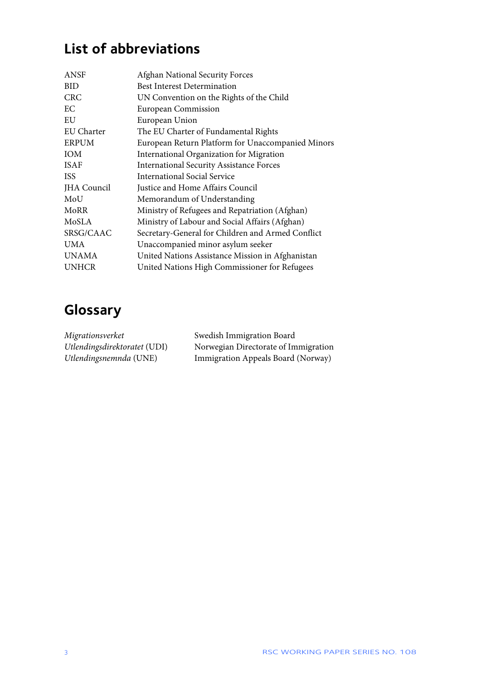# **List of abbreviations**

| <b>ANSF</b>        | <b>Afghan National Security Forces</b>            |
|--------------------|---------------------------------------------------|
| <b>BID</b>         | <b>Best Interest Determination</b>                |
| <b>CRC</b>         | UN Convention on the Rights of the Child          |
| EС                 | <b>European Commission</b>                        |
| EU                 | European Union                                    |
| EU Charter         | The EU Charter of Fundamental Rights              |
| <b>ERPUM</b>       | European Return Platform for Unaccompanied Minors |
| <b>IOM</b>         | International Organization for Migration          |
| <b>ISAF</b>        | <b>International Security Assistance Forces</b>   |
| <b>ISS</b>         | <b>International Social Service</b>               |
| <b>JHA</b> Council | Justice and Home Affairs Council                  |
| MoU                | Memorandum of Understanding                       |
| MoRR               | Ministry of Refugees and Repatriation (Afghan)    |
| MoSLA              | Ministry of Labour and Social Affairs (Afghan)    |
| SRSG/CAAC          | Secretary-General for Children and Armed Conflict |
| <b>UMA</b>         | Unaccompanied minor asylum seeker                 |
| <b>UNAMA</b>       | United Nations Assistance Mission in Afghanistan  |
| <b>UNHCR</b>       | United Nations High Commissioner for Refugees     |

# **Glossary**

| Migrationsverket             | Swedish Immigration Board            |
|------------------------------|--------------------------------------|
| Utlendingsdirektoratet (UDI) | Norwegian Directorate of Immigration |
| Utlendingsnemnda (UNE)       | Immigration Appeals Board (Norway)   |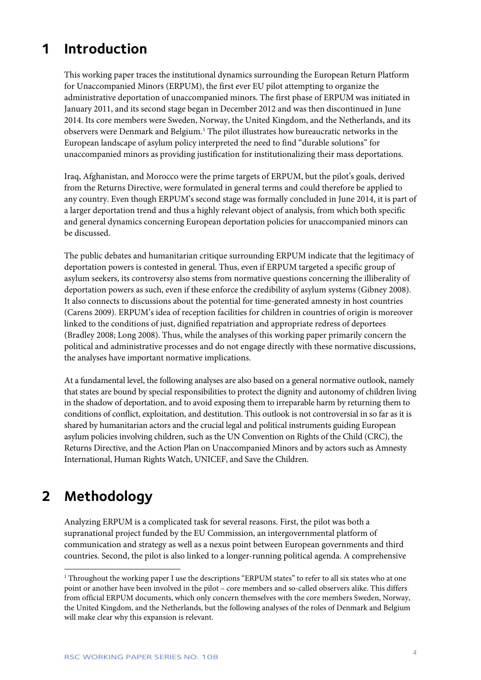## <span id="page-4-0"></span>**1 Introduction**

This working paper traces the institutional dynamics surrounding the European Return Platform for Unaccompanied Minors (ERPUM), the first ever EU pilot attempting to organize the administrative deportation of unaccompanied minors. The first phase of ERPUM was initiated in January 2011, and its second stage began in December 2012 and was then discontinued in June 2014. Its core members were Sweden, Norway, the United Kingdom, and the Netherlands, and its observers were Denmark and Belgium.<sup>[1](#page-4-2)</sup> The pilot illustrates how bureaucratic networks in the European landscape of asylum policy interpreted the need to find "durable solutions" for unaccompanied minors as providing justification for institutionalizing their mass deportations.

Iraq, Afghanistan, and Morocco were the prime targets of ERPUM, but the pilot's goals, derived from the Returns Directive, were formulated in general terms and could therefore be applied to any country. Even though ERPUM's second stage was formally concluded in June 2014, it is part of a larger deportation trend and thus a highly relevant object of analysis, from which both specific and general dynamics concerning European deportation policies for unaccompanied minors can be discussed.

The public debates and humanitarian critique surrounding ERPUM indicate that the legitimacy of deportation powers is contested in general. Thus, even if ERPUM targeted a specific group of asylum seekers, its controversy also stems from normative questions concerning the illiberality of deportation powers as such, even if these enforce the credibility of asylum systems (Gibney 2008). It also connects to discussions about the potential for time-generated amnesty in host countries (Carens 2009). ERPUM's idea of reception facilities for children in countries of origin is moreover linked to the conditions of just, dignified repatriation and appropriate redress of deportees (Bradley 2008; Long 2008). Thus, while the analyses of this working paper primarily concern the political and administrative processes and do not engage directly with these normative discussions, the analyses have important normative implications.

At a fundamental level, the following analyses are also based on a general normative outlook, namely that states are bound by special responsibilities to protect the dignity and autonomy of children living in the shadow of deportation, and to avoid exposing them to irreparable harm by returning them to conditions of conflict, exploitation, and destitution. This outlook is not controversial in so far as it is shared by humanitarian actors and the crucial legal and political instruments guiding European asylum policies involving children, such as the UN Convention on Rights of the Child (CRC), the Returns Directive, and the Action Plan on Unaccompanied Minors and by actors such as Amnesty International, Human Rights Watch, UNICEF, and Save the Children.

## <span id="page-4-1"></span>**2 Methodology**

 $\overline{a}$ 

Analyzing ERPUM is a complicated task for several reasons. First, the pilot was both a supranational project funded by the EU Commission, an intergovernmental platform of communication and strategy as well as a nexus point between European governments and third countries. Second, the pilot is also linked to a longer-running political agenda. A comprehensive

<span id="page-4-2"></span><sup>&</sup>lt;sup>1</sup> Throughout the working paper I use the descriptions "ERPUM states" to refer to all six states who at one point or another have been involved in the pilot – core members and so-called observers alike. This differs from official ERPUM documents, which only concern themselves with the core members Sweden, Norway, the United Kingdom, and the Netherlands, but the following analyses of the roles of Denmark and Belgium will make clear why this expansion is relevant.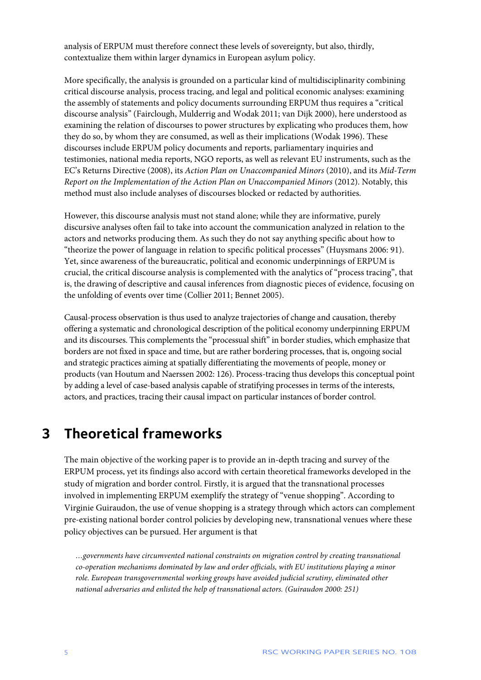analysis of ERPUM must therefore connect these levels of sovereignty, but also, thirdly, contextualize them within larger dynamics in European asylum policy.

More specifically, the analysis is grounded on a particular kind of multidisciplinarity combining critical discourse analysis, process tracing, and legal and political economic analyses: examining the assembly of statements and policy documents surrounding ERPUM thus requires a "critical discourse analysis" (Fairclough, Mulderrig and Wodak 2011; van Dijk 2000), here understood as examining the relation of discourses to power structures by explicating who produces them, how they do so, by whom they are consumed, as well as their implications (Wodak 1996). These discourses include ERPUM policy documents and reports, parliamentary inquiries and testimonies, national media reports, NGO reports, as well as relevant EU instruments, such as the EC's Returns Directive (2008), its *Action Plan on Unaccompanied Minors* (2010), and its *Mid-Term Report on the Implementation of the Action Plan on Unaccompanied Minors* (2012). Notably, this method must also include analyses of discourses blocked or redacted by authorities.

However, this discourse analysis must not stand alone; while they are informative, purely discursive analyses often fail to take into account the communication analyzed in relation to the actors and networks producing them. As such they do not say anything specific about how to "theorize the power of language in relation to specific political processes" (Huysmans 2006: 91). Yet, since awareness of the bureaucratic, political and economic underpinnings of ERPUM is crucial, the critical discourse analysis is complemented with the analytics of "process tracing", that is, the drawing of descriptive and causal inferences from diagnostic pieces of evidence, focusing on the unfolding of events over time (Collier 2011; Bennet 2005).

Causal-process observation is thus used to analyze trajectories of change and causation, thereby offering a systematic and chronological description of the political economy underpinning ERPUM and its discourses. This complements the "processual shift" in border studies, which emphasize that borders are not fixed in space and time, but are rather bordering processes, that is, ongoing social and strategic practices aiming at spatially differentiating the movements of people, money or products (van Houtum and Naerssen 2002: 126). Process-tracing thus develops this conceptual point by adding a level of case-based analysis capable of stratifying processes in terms of the interests, actors, and practices, tracing their causal impact on particular instances of border control.

### <span id="page-5-0"></span>**3 Theoretical frameworks**

The main objective of the working paper is to provide an in-depth tracing and survey of the ERPUM process, yet its findings also accord with certain theoretical frameworks developed in the study of migration and border control. Firstly, it is argued that the transnational processes involved in implementing ERPUM exemplify the strategy of "venue shopping". According to Virginie Guiraudon, the use of venue shopping is a strategy through which actors can complement pre-existing national border control policies by developing new, transnational venues where these policy objectives can be pursued. Her argument is that

*…governments have circumvented national constraints on migration control by creating transnational co-operation mechanisms dominated by law and order officials, with EU institutions playing a minor role. European transgovernmental working groups have avoided judicial scrutiny, eliminated other national adversaries and enlisted the help of transnational actors. (Guiraudon 2000: 251)*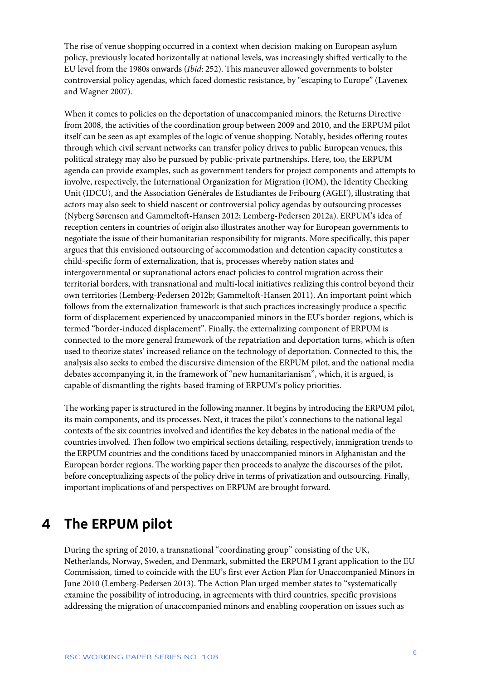The rise of venue shopping occurred in a context when decision-making on European asylum policy, previously located horizontally at national levels, was increasingly shifted vertically to the EU level from the 1980s onwards (*Ibid*: 252). This maneuver allowed governments to bolster controversial policy agendas, which faced domestic resistance, by "escaping to Europe" (Lavenex and Wagner 2007).

When it comes to policies on the deportation of unaccompanied minors, the Returns Directive from 2008, the activities of the coordination group between 2009 and 2010, and the ERPUM pilot itself can be seen as apt examples of the logic of venue shopping. Notably, besides offering routes through which civil servant networks can transfer policy drives to public European venues, this political strategy may also be pursued by public-private partnerships. Here, too, the ERPUM agenda can provide examples, such as government tenders for project components and attempts to involve, respectively, the International Organization for Migration (IOM), the Identity Checking Unit (IDCU), and the Association Générales de Estudiantes de Fribourg (AGEF), illustrating that actors may also seek to shield nascent or controversial policy agendas by outsourcing processes (Nyberg Sørensen and Gammeltoft-Hansen 2012; Lemberg-Pedersen 2012a). ERPUM's idea of reception centers in countries of origin also illustrates another way for European governments to negotiate the issue of their humanitarian responsibility for migrants. More specifically, this paper argues that this envisioned outsourcing of accommodation and detention capacity constitutes a child-specific form of externalization, that is, processes whereby nation states and intergovernmental or supranational actors enact policies to control migration across their territorial borders, with transnational and multi-local initiatives realizing this control beyond their own territories (Lemberg-Pedersen 2012b; Gammeltoft-Hansen 2011). An important point which follows from the externalization framework is that such practices increasingly produce a specific form of displacement experienced by unaccompanied minors in the EU's border-regions, which is termed "border-induced displacement". Finally, the externalizing component of ERPUM is connected to the more general framework of the repatriation and deportation turns, which is often used to theorize states' increased reliance on the technology of deportation. Connected to this, the analysis also seeks to embed the discursive dimension of the ERPUM pilot, and the national media debates accompanying it, in the framework of "new humanitarianism", which, it is argued, is capable of dismantling the rights-based framing of ERPUM's policy priorities.

The working paper is structured in the following manner. It begins by introducing the ERPUM pilot, its main components, and its processes. Next, it traces the pilot's connections to the national legal contexts of the six countries involved and identifies the key debates in the national media of the countries involved. Then follow two empirical sections detailing, respectively, immigration trends to the ERPUM countries and the conditions faced by unaccompanied minors in Afghanistan and the European border regions. The working paper then proceeds to analyze the discourses of the pilot, before conceptualizing aspects of the policy drive in terms of privatization and outsourcing. Finally, important implications of and perspectives on ERPUM are brought forward.

### <span id="page-6-0"></span>**4 The ERPUM pilot**

During the spring of 2010, a transnational "coordinating group" consisting of the UK, Netherlands, Norway, Sweden, and Denmark, submitted the ERPUM I grant application to the EU Commission, timed to coincide with the EU's first ever Action Plan for Unaccompanied Minors in June 2010 (Lemberg-Pedersen 2013). The Action Plan urged member states to "systematically examine the possibility of introducing, in agreements with third countries, specific provisions addressing the migration of unaccompanied minors and enabling cooperation on issues such as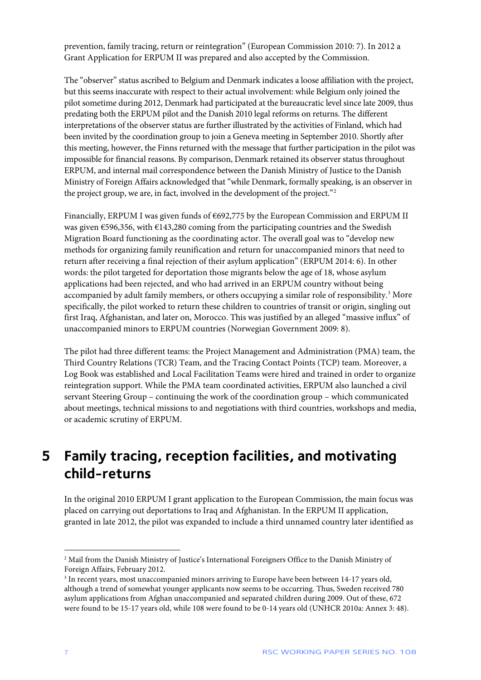prevention, family tracing, return or reintegration" (European Commission 2010: 7). In 2012 a Grant Application for ERPUM II was prepared and also accepted by the Commission.

The "observer" status ascribed to Belgium and Denmark indicates a loose affiliation with the project, but this seems inaccurate with respect to their actual involvement: while Belgium only joined the pilot sometime during 2012, Denmark had participated at the bureaucratic level since late 2009, thus predating both the ERPUM pilot and the Danish 2010 legal reforms on returns. The different interpretations of the observer status are further illustrated by the activities of Finland, which had been invited by the coordination group to join a Geneva meeting in September 2010. Shortly after this meeting, however, the Finns returned with the message that further participation in the pilot was impossible for financial reasons. By comparison, Denmark retained its observer status throughout ERPUM, and internal mail correspondence between the Danish Ministry of Justice to the Danish Ministry of Foreign Affairs acknowledged that "while Denmark, formally speaking, is an observer in the project group, we are, in fact, involved in the development of the project."<sup>[2](#page-7-1)</sup>

Financially, ERPUM I was given funds of  $6692,775$  by the European Commission and ERPUM II was given €596,356, with €143,280 coming from the participating countries and the Swedish Migration Board functioning as the coordinating actor. The overall goal was to "develop new methods for organizing family reunification and return for unaccompanied minors that need to return after receiving a final rejection of their asylum application" (ERPUM 2014: 6). In other words: the pilot targeted for deportation those migrants below the age of 18, whose asylum applications had been rejected, and who had arrived in an ERPUM country without being accompanied by adult family members, or others occupying a similar role of responsibility.<sup>[3](#page-7-2)</sup> More specifically, the pilot worked to return these children to countries of transit or origin, singling out first Iraq, Afghanistan, and later on, Morocco. This was justified by an alleged "massive influx" of unaccompanied minors to ERPUM countries (Norwegian Government 2009: 8).

The pilot had three different teams: the Project Management and Administration (PMA) team, the Third Country Relations (TCR) Team, and the Tracing Contact Points (TCP) team. Moreover, a Log Book was established and Local Facilitation Teams were hired and trained in order to organize reintegration support. While the PMA team coordinated activities, ERPUM also launched a civil servant Steering Group – continuing the work of the coordination group – which communicated about meetings, technical missions to and negotiations with third countries, workshops and media, or academic scrutiny of ERPUM.

### <span id="page-7-0"></span>**5 Family tracing, reception facilities, and motivating child-returns**

In the original 2010 ERPUM I grant application to the European Commission, the main focus was placed on carrying out deportations to Iraq and Afghanistan. In the ERPUM II application, granted in late 2012, the pilot was expanded to include a third unnamed country later identified as

1

<span id="page-7-1"></span><sup>2</sup> Mail from the Danish Ministry of Justice's International Foreigners Office to the Danish Ministry of Foreign Affairs, February 2012.

<span id="page-7-2"></span><sup>&</sup>lt;sup>3</sup> In recent years, most unaccompanied minors arriving to Europe have been between 14-17 years old, although a trend of somewhat younger applicants now seems to be occurring. Thus, Sweden received 780 asylum applications from Afghan unaccompanied and separated children during 2009. Out of these, 672 were found to be 15-17 years old, while 108 were found to be 0-14 years old (UNHCR 2010a: Annex 3: 48).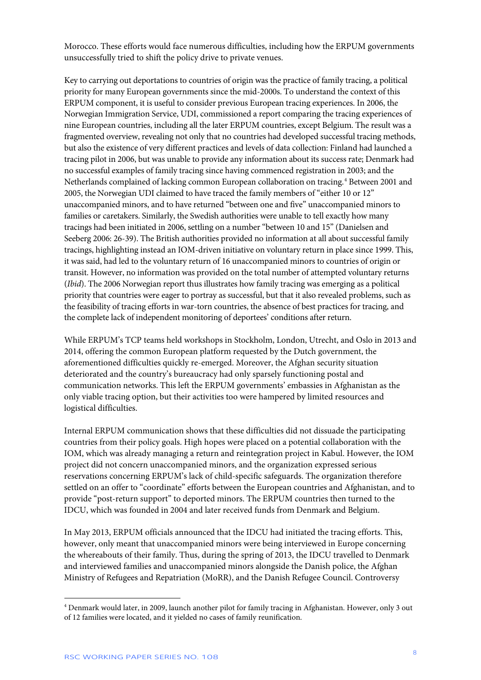Morocco. These efforts would face numerous difficulties, including how the ERPUM governments unsuccessfully tried to shift the policy drive to private venues.

Key to carrying out deportations to countries of origin was the practice of family tracing, a political priority for many European governments since the mid-2000s. To understand the context of this ERPUM component, it is useful to consider previous European tracing experiences. In 2006, the Norwegian Immigration Service, UDI, commissioned a report comparing the tracing experiences of nine European countries, including all the later ERPUM countries, except Belgium. The result was a fragmented overview, revealing not only that no countries had developed successful tracing methods, but also the existence of very different practices and levels of data collection: Finland had launched a tracing pilot in 2006, but was unable to provide any information about its success rate; Denmark had no successful examples of family tracing since having commenced registration in 2003; and the Netherlands complained of lacking common European collaboration on tracing.<sup>[4](#page-8-0)</sup> Between 2001 and 2005, the Norwegian UDI claimed to have traced the family members of "either 10 or 12" unaccompanied minors, and to have returned "between one and five" unaccompanied minors to families or caretakers. Similarly, the Swedish authorities were unable to tell exactly how many tracings had been initiated in 2006, settling on a number "between 10 and 15" (Danielsen and Seeberg 2006: 26-39). The British authorities provided no information at all about successful family tracings, highlighting instead an IOM-driven initiative on voluntary return in place since 1999. This, it was said, had led to the voluntary return of 16 unaccompanied minors to countries of origin or transit. However, no information was provided on the total number of attempted voluntary returns (*Ibid*). The 2006 Norwegian report thus illustrates how family tracing was emerging as a political priority that countries were eager to portray as successful, but that it also revealed problems, such as the feasibility of tracing efforts in war-torn countries, the absence of best practices for tracing, and the complete lack of independent monitoring of deportees' conditions after return.

While ERPUM's TCP teams held workshops in Stockholm, London, Utrecht, and Oslo in 2013 and 2014, offering the common European platform requested by the Dutch government, the aforementioned difficulties quickly re-emerged. Moreover, the Afghan security situation deteriorated and the country's bureaucracy had only sparsely functioning postal and communication networks. This left the ERPUM governments' embassies in Afghanistan as the only viable tracing option, but their activities too were hampered by limited resources and logistical difficulties.

Internal ERPUM communication shows that these difficulties did not dissuade the participating countries from their policy goals. High hopes were placed on a potential collaboration with the IOM, which was already managing a return and reintegration project in Kabul. However, the IOM project did not concern unaccompanied minors, and the organization expressed serious reservations concerning ERPUM's lack of child-specific safeguards. The organization therefore settled on an offer to "coordinate" efforts between the European countries and Afghanistan, and to provide "post-return support" to deported minors. The ERPUM countries then turned to the IDCU, which was founded in 2004 and later received funds from Denmark and Belgium.

In May 2013, ERPUM officials announced that the IDCU had initiated the tracing efforts. This, however, only meant that unaccompanied minors were being interviewed in Europe concerning the whereabouts of their family. Thus, during the spring of 2013, the IDCU travelled to Denmark and interviewed families and unaccompanied minors alongside the Danish police, the Afghan Ministry of Refugees and Repatriation (MoRR), and the Danish Refugee Council. Controversy

<span id="page-8-0"></span><sup>4</sup> Denmark would later, in 2009, launch another pilot for family tracing in Afghanistan. However, only 3 out of 12 families were located, and it yielded no cases of family reunification.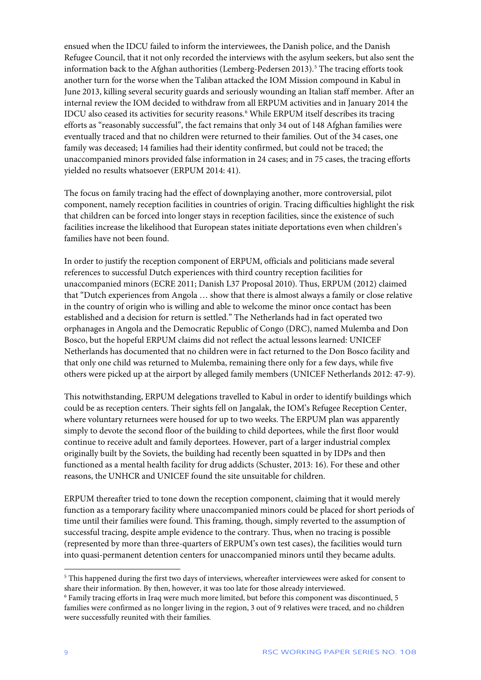ensued when the IDCU failed to inform the interviewees, the Danish police, and the Danish Refugee Council, that it not only recorded the interviews with the asylum seekers, but also sent the information back to the Afghan authorities (Lemberg-Pedersen 2013).<sup>[5](#page-9-0)</sup> The tracing efforts took another turn for the worse when the Taliban attacked the IOM Mission compound in Kabul in June 2013, killing several security guards and seriously wounding an Italian staff member. After an internal review the IOM decided to withdraw from all ERPUM activities and in January 2014 the IDCU also ceased its activities for security reasons.<sup>[6](#page-9-1)</sup> While ERPUM itself describes its tracing efforts as "reasonably successful", the fact remains that only 34 out of 148 Afghan families were eventually traced and that no children were returned to their families. Out of the 34 cases, one family was deceased; 14 families had their identity confirmed, but could not be traced; the unaccompanied minors provided false information in 24 cases; and in 75 cases, the tracing efforts yielded no results whatsoever (ERPUM 2014: 41).

The focus on family tracing had the effect of downplaying another, more controversial, pilot component, namely reception facilities in countries of origin. Tracing difficulties highlight the risk that children can be forced into longer stays in reception facilities, since the existence of such facilities increase the likelihood that European states initiate deportations even when children's families have not been found.

In order to justify the reception component of ERPUM, officials and politicians made several references to successful Dutch experiences with third country reception facilities for unaccompanied minors (ECRE 2011; Danish L37 Proposal 2010). Thus, ERPUM (2012) claimed that "Dutch experiences from Angola … show that there is almost always a family or close relative in the country of origin who is willing and able to welcome the minor once contact has been established and a decision for return is settled." The Netherlands had in fact operated two orphanages in Angola and the Democratic Republic of Congo (DRC), named Mulemba and Don Bosco, but the hopeful ERPUM claims did not reflect the actual lessons learned: UNICEF Netherlands has documented that no children were in fact returned to the Don Bosco facility and that only one child was returned to Mulemba, remaining there only for a few days, while five others were picked up at the airport by alleged family members (UNICEF Netherlands 2012: 47-9).

This notwithstanding, ERPUM delegations travelled to Kabul in order to identify buildings which could be as reception centers. Their sights fell on Jangalak, the IOM's Refugee Reception Center, where voluntary returnees were housed for up to two weeks. The ERPUM plan was apparently simply to devote the second floor of the building to child deportees, while the first floor would continue to receive adult and family deportees. However, part of a larger industrial complex originally built by the Soviets, the building had recently been squatted in by IDPs and then functioned as a mental health facility for drug addicts (Schuster, 2013: 16). For these and other reasons, the UNHCR and UNICEF found the site unsuitable for children.

ERPUM thereafter tried to tone down the reception component, claiming that it would merely function as a temporary facility where unaccompanied minors could be placed for short periods of time until their families were found. This framing, though, simply reverted to the assumption of successful tracing, despite ample evidence to the contrary. Thus, when no tracing is possible (represented by more than three-quarters of ERPUM's own test cases), the facilities would turn into quasi-permanent detention centers for unaccompanied minors until they became adults.

<span id="page-9-0"></span><sup>&</sup>lt;sup>5</sup> This happened during the first two days of interviews, whereafter interviewees were asked for consent to share their information. By then, however, it was too late for those already interviewed.

<span id="page-9-1"></span><sup>6</sup> Family tracing efforts in Iraq were much more limited, but before this component was discontinued, 5 families were confirmed as no longer living in the region, 3 out of 9 relatives were traced, and no children were successfully reunited with their families.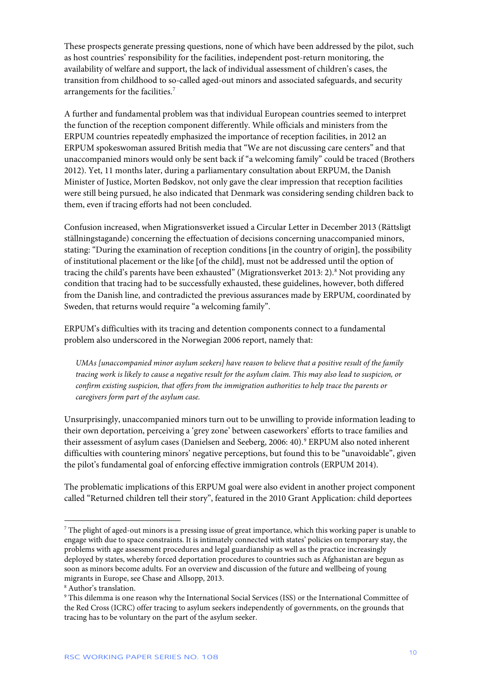These prospects generate pressing questions, none of which have been addressed by the pilot, such as host countries' responsibility for the facilities, independent post-return monitoring, the availability of welfare and support, the lack of individual assessment of children's cases, the transition from childhood to so-called aged-out minors and associated safeguards, and security arrangements for the facilities.[7](#page-10-0)

A further and fundamental problem was that individual European countries seemed to interpret the function of the reception component differently. While officials and ministers from the ERPUM countries repeatedly emphasized the importance of reception facilities, in 2012 an ERPUM spokeswoman assured British media that "We are not discussing care centers" and that unaccompanied minors would only be sent back if "a welcoming family" could be traced (Brothers 2012). Yet, 11 months later, during a parliamentary consultation about ERPUM, the Danish Minister of Justice, Morten Bødskov, not only gave the clear impression that reception facilities were still being pursued, he also indicated that Denmark was considering sending children back to them, even if tracing efforts had not been concluded.

Confusion increased, when Migrationsverket issued a Circular Letter in December 2013 (Rättsligt ställningstagande) concerning the effectuation of decisions concerning unaccompanied minors, stating: "During the examination of reception conditions [in the country of origin], the possibility of institutional placement or the like [of the child], must not be addressed until the option of tracing the child's parents have been exhausted" (Migrationsverket 2013: 2).<sup>[8](#page-10-1)</sup> Not providing any condition that tracing had to be successfully exhausted, these guidelines, however, both differed from the Danish line, and contradicted the previous assurances made by ERPUM, coordinated by Sweden, that returns would require "a welcoming family".

ERPUM's difficulties with its tracing and detention components connect to a fundamental problem also underscored in the Norwegian 2006 report, namely that:

*UMAs [unaccompanied minor asylum seekers] have reason to believe that a positive result of the family tracing work is likely to cause a negative result for the asylum claim. This may also lead to suspicion, or confirm existing suspicion, that offers from the immigration authorities to help trace the parents or caregivers form part of the asylum case.*

Unsurprisingly, unaccompanied minors turn out to be unwilling to provide information leading to their own deportation, perceiving a 'grey zone' between caseworkers' efforts to trace families and their assessment of asylum cases (Danielsen and Seeberg, 2006: 40).<sup>[9](#page-10-2)</sup> ERPUM also noted inherent difficulties with countering minors' negative perceptions, but found this to be "unavoidable", given the pilot's fundamental goal of enforcing effective immigration controls (ERPUM 2014).

The problematic implications of this ERPUM goal were also evident in another project component called "Returned children tell their story", featured in the 2010 Grant Application: child deportees

<span id="page-10-0"></span><sup>7</sup> The plight of aged-out minors is a pressing issue of great importance, which this working paper is unable to engage with due to space constraints. It is intimately connected with states' policies on temporary stay, the problems with age assessment procedures and legal guardianship as well as the practice increasingly deployed by states, whereby forced deportation procedures to countries such as Afghanistan are begun as soon as minors become adults. For an overview and discussion of the future and wellbeing of young migrants in Europe, see Chase and Allsopp, 2013.

<span id="page-10-1"></span><sup>8</sup> Author's translation.

<span id="page-10-2"></span><sup>9</sup> This dilemma is one reason why the International Social Services (ISS) or the International Committee of the Red Cross (ICRC) offer tracing to asylum seekers independently of governments, on the grounds that tracing has to be voluntary on the part of the asylum seeker.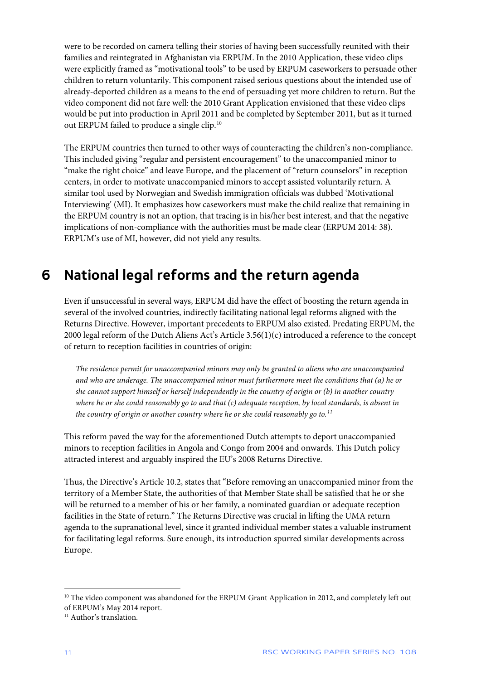were to be recorded on camera telling their stories of having been successfully reunited with their families and reintegrated in Afghanistan via ERPUM. In the 2010 Application, these video clips were explicitly framed as "motivational tools" to be used by ERPUM caseworkers to persuade other children to return voluntarily. This component raised serious questions about the intended use of already-deported children as a means to the end of persuading yet more children to return. But the video component did not fare well: the 2010 Grant Application envisioned that these video clips would be put into production in April 2011 and be completed by September 2011, but as it turned out ERPUM failed to produce a single clip.<sup>[10](#page-11-1)</sup>

The ERPUM countries then turned to other ways of counteracting the children's non-compliance. This included giving "regular and persistent encouragement" to the unaccompanied minor to "make the right choice" and leave Europe, and the placement of "return counselors" in reception centers, in order to motivate unaccompanied minors to accept assisted voluntarily return. A similar tool used by Norwegian and Swedish immigration officials was dubbed 'Motivational Interviewing' (MI). It emphasizes how caseworkers must make the child realize that remaining in the ERPUM country is not an option, that tracing is in his/her best interest, and that the negative implications of non-compliance with the authorities must be made clear (ERPUM 2014: 38). ERPUM's use of MI, however, did not yield any results.

## <span id="page-11-0"></span>**6 National legal reforms and the return agenda**

Even if unsuccessful in several ways, ERPUM did have the effect of boosting the return agenda in several of the involved countries, indirectly facilitating national legal reforms aligned with the Returns Directive. However, important precedents to ERPUM also existed. Predating ERPUM, the 2000 legal reform of the Dutch Aliens Act's Article 3.56(1)(c) introduced a reference to the concept of return to reception facilities in countries of origin:

*The residence permit for unaccompanied minors may only be granted to aliens who are unaccompanied and who are underage. The unaccompanied minor must furthermore meet the conditions that (a) he or she cannot support himself or herself independently in the country of origin or (b) in another country where he or she could reasonably go to and that (c) adequate reception, by local standards, is absent in the country of origin or another country where he or she could reasonably go to.[11](#page-11-2)*

This reform paved the way for the aforementioned Dutch attempts to deport unaccompanied minors to reception facilities in Angola and Congo from 2004 and onwards. This Dutch policy attracted interest and arguably inspired the EU's 2008 Returns Directive.

Thus, the Directive's Article 10.2, states that "Before removing an unaccompanied minor from the territory of a Member State, the authorities of that Member State shall be satisfied that he or she will be returned to a member of his or her family, a nominated guardian or adequate reception facilities in the State of return." The Returns Directive was crucial in lifting the UMA return agenda to the supranational level, since it granted individual member states a valuable instrument for facilitating legal reforms. Sure enough, its introduction spurred similar developments across Europe.

<span id="page-11-1"></span><sup>&</sup>lt;sup>10</sup> The video component was abandoned for the ERPUM Grant Application in 2012, and completely left out of ERPUM's May 2014 report.

<span id="page-11-2"></span><sup>&</sup>lt;sup>11</sup> Author's translation.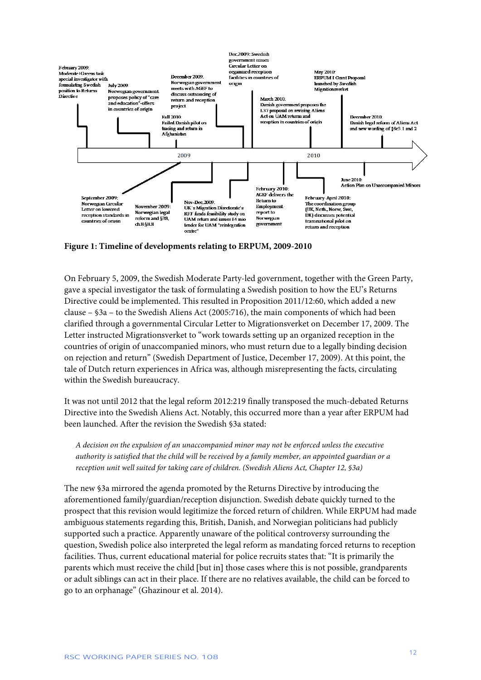

**Figure 1: Timeline of developments relating to ERPUM, 2009-2010**

On February 5, 2009, the Swedish Moderate Party-led government, together with the Green Party, gave a special investigator the task of formulating a Swedish position to how the EU's Returns Directive could be implemented. This resulted in Proposition 2011/12:60, which added a new clause – §3a – to the Swedish Aliens Act (2005:716), the main components of which had been clarified through a governmental Circular Letter to Migrationsverket on December 17, 2009. The Letter instructed Migrationsverket to "work towards setting up an organized reception in the countries of origin of unaccompanied minors, who must return due to a legally binding decision on rejection and return" (Swedish Department of Justice, December 17, 2009). At this point, the tale of Dutch return experiences in Africa was, although misrepresenting the facts, circulating within the Swedish bureaucracy.

It was not until 2012 that the legal reform 2012:219 finally transposed the much-debated Returns Directive into the Swedish Aliens Act. Notably, this occurred more than a year after ERPUM had been launched. After the revision the Swedish §3a stated:

*A decision on the expulsion of an unaccompanied minor may not be enforced unless the executive authority is satisfied that the child will be received by a family member, an appointed guardian or a reception unit well suited for taking care of children. (Swedish Aliens Act, Chapter 12, §3a)*

The new §3a mirrored the agenda promoted by the Returns Directive by introducing the aforementioned family/guardian/reception disjunction. Swedish debate quickly turned to the prospect that this revision would legitimize the forced return of children. While ERPUM had made ambiguous statements regarding this, British, Danish, and Norwegian politicians had publicly supported such a practice. Apparently unaware of the political controversy surrounding the question, Swedish police also interpreted the legal reform as mandating forced returns to reception facilities. Thus, current educational material for police recruits states that: "It is primarily the parents which must receive the child [but in] those cases where this is not possible, grandparents or adult siblings can act in their place. If there are no relatives available, the child can be forced to go to an orphanage" (Ghazinour et al. 2014).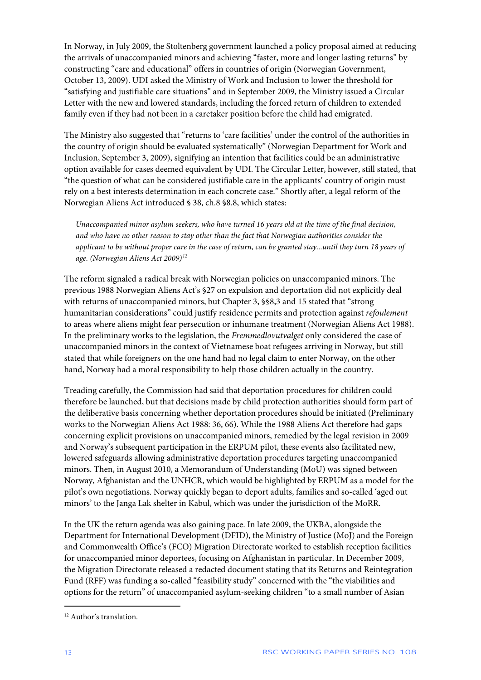In Norway, in July 2009, the Stoltenberg government launched a policy proposal aimed at reducing the arrivals of unaccompanied minors and achieving "faster, more and longer lasting returns" by constructing "care and educational" offers in countries of origin (Norwegian Government, October 13, 2009). UDI asked the Ministry of Work and Inclusion to lower the threshold for "satisfying and justifiable care situations" and in September 2009, the Ministry issued a Circular Letter with the new and lowered standards, including the forced return of children to extended family even if they had not been in a caretaker position before the child had emigrated.

The Ministry also suggested that "returns to 'care facilities' under the control of the authorities in the country of origin should be evaluated systematically" (Norwegian Department for Work and Inclusion, September 3, 2009), signifying an intention that facilities could be an administrative option available for cases deemed equivalent by UDI. The Circular Letter, however, still stated, that "the question of what can be considered justifiable care in the applicants' country of origin must rely on a best interests determination in each concrete case." Shortly after, a legal reform of the Norwegian Aliens Act introduced § 38, ch.8 §8.8, which states:

*Unaccompanied minor asylum seekers, who have turned 16 years old at the time of the final decision, and who have no other reason to stay other than the fact that Norwegian authorities consider the applicant to be without proper care in the case of return, can be granted stay...until they turn 18 years of age. (Norwegian Aliens Act 2009)[12](#page-13-0)*

The reform signaled a radical break with Norwegian policies on unaccompanied minors. The previous 1988 Norwegian Aliens Act's §27 on expulsion and deportation did not explicitly deal with returns of unaccompanied minors, but Chapter 3, §§8,3 and 15 stated that "strong humanitarian considerations" could justify residence permits and protection against *refoulement* to areas where aliens might fear persecution or inhumane treatment (Norwegian Aliens Act 1988). In the preliminary works to the legislation, the *Fremmedlovutvalget* only considered the case of unaccompanied minors in the context of Vietnamese boat refugees arriving in Norway, but still stated that while foreigners on the one hand had no legal claim to enter Norway, on the other hand, Norway had a moral responsibility to help those children actually in the country.

Treading carefully, the Commission had said that deportation procedures for children could therefore be launched, but that decisions made by child protection authorities should form part of the deliberative basis concerning whether deportation procedures should be initiated (Preliminary works to the Norwegian Aliens Act 1988: 36, 66). While the 1988 Aliens Act therefore had gaps concerning explicit provisions on unaccompanied minors, remedied by the legal revision in 2009 and Norway's subsequent participation in the ERPUM pilot, these events also facilitated new, lowered safeguards allowing administrative deportation procedures targeting unaccompanied minors. Then, in August 2010, a Memorandum of Understanding (MoU) was signed between Norway, Afghanistan and the UNHCR, which would be highlighted by ERPUM as a model for the pilot's own negotiations. Norway quickly began to deport adults, families and so-called 'aged out minors' to the Janga Lak shelter in Kabul, which was under the jurisdiction of the MoRR.

In the UK the return agenda was also gaining pace. In late 2009, the UKBA, alongside the Department for International Development (DFID), the Ministry of Justice (MoJ) and the Foreign and Commonwealth Office's (FCO) Migration Directorate worked to establish reception facilities for unaccompanied minor deportees, focusing on Afghanistan in particular. In December 2009, the Migration Directorate released a redacted document stating that its Returns and Reintegration Fund (RFF) was funding a so-called "feasibility study" concerned with the "the viabilities and options for the return" of unaccompanied asylum-seeking children "to a small number of Asian

1

<span id="page-13-0"></span><sup>12</sup> Author's translation.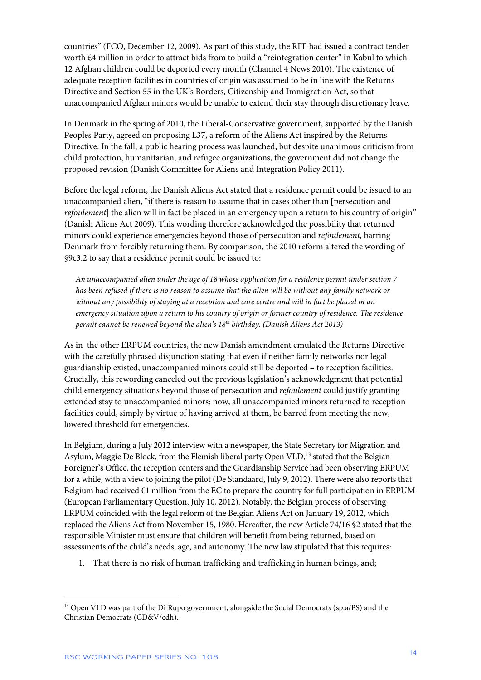countries" (FCO, December 12, 2009). As part of this study, the RFF had issued a contract tender worth £4 million in order to attract bids from to build a "reintegration center" in Kabul to which 12 Afghan children could be deported every month (Channel 4 News 2010). The existence of adequate reception facilities in countries of origin was assumed to be in line with the Returns Directive and Section 55 in the UK's Borders, Citizenship and Immigration Act, so that unaccompanied Afghan minors would be unable to extend their stay through discretionary leave.

In Denmark in the spring of 2010, the Liberal-Conservative government, supported by the Danish Peoples Party, agreed on proposing L37, a reform of the Aliens Act inspired by the Returns Directive. In the fall, a public hearing process was launched, but despite unanimous criticism from child protection, humanitarian, and refugee organizations, the government did not change the proposed revision (Danish Committee for Aliens and Integration Policy 2011).

Before the legal reform, the Danish Aliens Act stated that a residence permit could be issued to an unaccompanied alien, "if there is reason to assume that in cases other than [persecution and *refoulement*] the alien will in fact be placed in an emergency upon a return to his country of origin" (Danish Aliens Act 2009). This wording therefore acknowledged the possibility that returned minors could experience emergencies beyond those of persecution and *refoulement*, barring Denmark from forcibly returning them. By comparison, the 2010 reform altered the wording of §9c3.2 to say that a residence permit could be issued to:

*An unaccompanied alien under the age of 18 whose application for a residence permit under section 7 has been refused if there is no reason to assume that the alien will be without any family network or without any possibility of staying at a reception and care centre and will in fact be placed in an emergency situation upon a return to his country of origin or former country of residence. The residence permit cannot be renewed beyond the alien's 18th birthday. (Danish Aliens Act 2013)*

As in the other ERPUM countries, the new Danish amendment emulated the Returns Directive with the carefully phrased disjunction stating that even if neither family networks nor legal guardianship existed, unaccompanied minors could still be deported – to reception facilities. Crucially, this rewording canceled out the previous legislation's acknowledgment that potential child emergency situations beyond those of persecution and *refoulement* could justify granting extended stay to unaccompanied minors: now, all unaccompanied minors returned to reception facilities could, simply by virtue of having arrived at them, be barred from meeting the new, lowered threshold for emergencies.

In Belgium, during a July 2012 interview with a newspaper, the State Secretary for Migration and Asylum, Maggie De Block, from the Flemish liberal party Open VLD,<sup>[13](#page-14-0)</sup> stated that the Belgian Foreigner's Office, the reception centers and the Guardianship Service had been observing ERPUM for a while, with a view to joining the pilot (De Standaard, July 9, 2012). There were also reports that Belgium had received  $\epsilon$ 1 million from the EC to prepare the country for full participation in ERPUM (European Parliamentary Question, July 10, 2012). Notably, the Belgian process of observing ERPUM coincided with the legal reform of the Belgian Aliens Act on January 19, 2012, which replaced the Aliens Act from November 15, 1980. Hereafter, the new Article 74/16 §2 stated that the responsible Minister must ensure that children will benefit from being returned, based on assessments of the child's needs, age, and autonomy. The new law stipulated that this requires:

1. That there is no risk of human trafficking and trafficking in human beings, and;

<span id="page-14-0"></span> $13$  Open VLD was part of the Di Rupo government, alongside the Social Democrats (sp.a/PS) and the Christian Democrats (CD&V/cdh).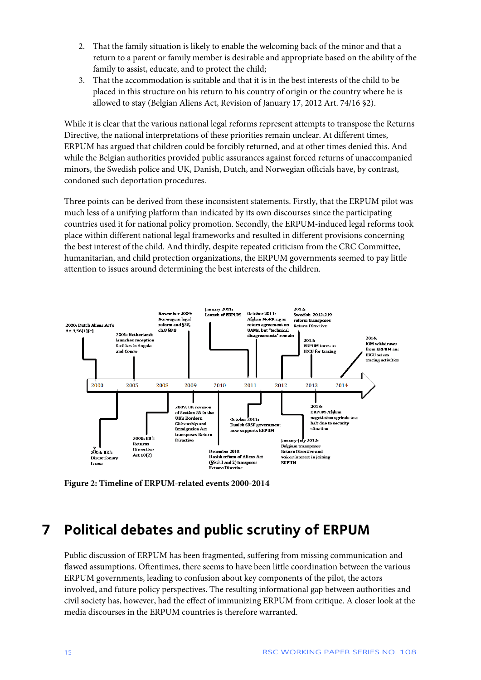- 2. That the family situation is likely to enable the welcoming back of the minor and that a return to a parent or family member is desirable and appropriate based on the ability of the family to assist, educate, and to protect the child;
- 3. That the accommodation is suitable and that it is in the best interests of the child to be placed in this structure on his return to his country of origin or the country where he is allowed to stay (Belgian Aliens Act, Revision of January 17, 2012 Art. 74/16 §2).

While it is clear that the various national legal reforms represent attempts to transpose the Returns Directive, the national interpretations of these priorities remain unclear. At different times, ERPUM has argued that children could be forcibly returned, and at other times denied this. And while the Belgian authorities provided public assurances against forced returns of unaccompanied minors, the Swedish police and UK, Danish, Dutch, and Norwegian officials have, by contrast, condoned such deportation procedures.

Three points can be derived from these inconsistent statements. Firstly, that the ERPUM pilot was much less of a unifying platform than indicated by its own discourses since the participating countries used it for national policy promotion. Secondly, the ERPUM-induced legal reforms took place within different national legal frameworks and resulted in different provisions concerning the best interest of the child. And thirdly, despite repeated criticism from the CRC Committee, humanitarian, and child protection organizations, the ERPUM governments seemed to pay little attention to issues around determining the best interests of the children.



**Figure 2: Timeline of ERPUM-related events 2000-2014**

### <span id="page-15-0"></span>**7 Political debates and public scrutiny of ERPUM**

Public discussion of ERPUM has been fragmented, suffering from missing communication and flawed assumptions. Oftentimes, there seems to have been little coordination between the various ERPUM governments, leading to confusion about key components of the pilot, the actors involved, and future policy perspectives. The resulting informational gap between authorities and civil society has, however, had the effect of immunizing ERPUM from critique. A closer look at the media discourses in the ERPUM countries is therefore warranted.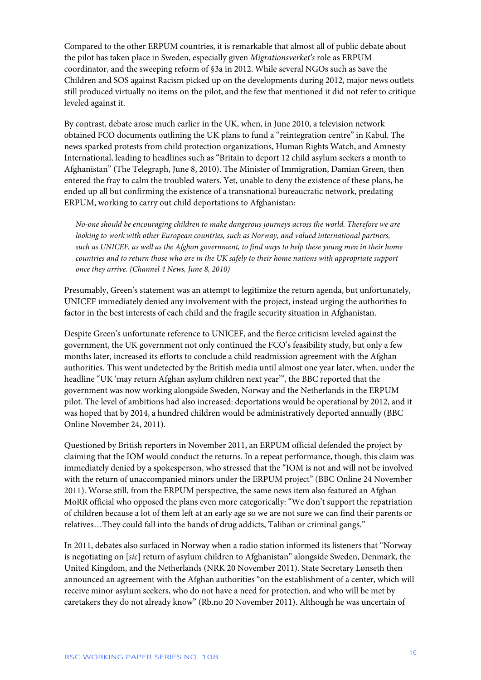Compared to the other ERPUM countries, it is remarkable that almost all of public debate about the pilot has taken place in Sweden, especially given *Migrationsverket's* role as ERPUM coordinator, and the sweeping reform of §3a in 2012. While several NGOs such as Save the Children and SOS against Racism picked up on the developments during 2012, major news outlets still produced virtually no items on the pilot, and the few that mentioned it did not refer to critique leveled against it.

By contrast, debate arose much earlier in the UK, when, in June 2010, a television network obtained FCO documents outlining the UK plans to fund a "reintegration centre" in Kabul. The news sparked protests from child protection organizations, Human Rights Watch, and Amnesty International, leading to headlines such as "Britain to deport 12 child asylum seekers a month to Afghanistan" (The Telegraph, June 8, 2010). The Minister of Immigration, Damian Green, then entered the fray to calm the troubled waters. Yet, unable to deny the existence of these plans, he ended up all but confirming the existence of a transnational bureaucratic network, predating ERPUM, working to carry out child deportations to Afghanistan:

*No-one should be encouraging children to make dangerous journeys across the world. Therefore we are looking to work with other European countries, such as Norway, and valued international partners, such as UNICEF, as well as the Afghan government, to find ways to help these young men in their home countries and to return those who are in the UK safely to their home nations with appropriate support once they arrive. (Channel 4 News, June 8, 2010)*

Presumably, Green's statement was an attempt to legitimize the return agenda, but unfortunately, UNICEF immediately denied any involvement with the project, instead urging the authorities to factor in the best interests of each child and the fragile security situation in Afghanistan.

Despite Green's unfortunate reference to UNICEF, and the fierce criticism leveled against the government, the UK government not only continued the FCO's feasibility study, but only a few months later, increased its efforts to conclude a child readmission agreement with the Afghan authorities. This went undetected by the British media until almost one year later, when, under the headline "UK 'may return Afghan asylum children next year'", the BBC reported that the government was now working alongside Sweden, Norway and the Netherlands in the ERPUM pilot. The level of ambitions had also increased: deportations would be operational by 2012, and it was hoped that by 2014, a hundred children would be administratively deported annually (BBC Online November 24, 2011).

Questioned by British reporters in November 2011, an ERPUM official defended the project by claiming that the IOM would conduct the returns. In a repeat performance, though, this claim was immediately denied by a spokesperson, who stressed that the "IOM is not and will not be involved with the return of unaccompanied minors under the ERPUM project" (BBC Online 24 November 2011). Worse still, from the ERPUM perspective, the same news item also featured an Afghan MoRR official who opposed the plans even more categorically: "We don't support the repatriation of children because a lot of them left at an early age so we are not sure we can find their parents or relatives…They could fall into the hands of drug addicts, Taliban or criminal gangs."

In 2011, debates also surfaced in Norway when a radio station informed its listeners that "Norway is negotiating on [*sic*] return of asylum children to Afghanistan" alongside Sweden, Denmark, the United Kingdom, and the Netherlands (NRK 20 November 2011). State Secretary Lønseth then announced an agreement with the Afghan authorities "on the establishment of a center, which will receive minor asylum seekers, who do not have a need for protection, and who will be met by caretakers they do not already know" (Rb.no 20 November 2011). Although he was uncertain of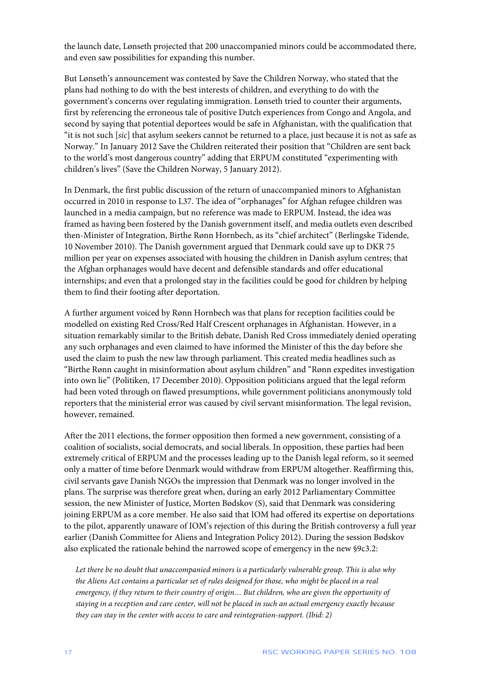the launch date, Lønseth projected that 200 unaccompanied minors could be accommodated there, and even saw possibilities for expanding this number.

But Lønseth's announcement was contested by Save the Children Norway, who stated that the plans had nothing to do with the best interests of children, and everything to do with the government's concerns over regulating immigration. Lønseth tried to counter their arguments, first by referencing the erroneous tale of positive Dutch experiences from Congo and Angola, and second by saying that potential deportees would be safe in Afghanistan, with the qualification that "it is not such [*sic*] that asylum seekers cannot be returned to a place, just because it is not as safe as Norway." In January 2012 Save the Children reiterated their position that "Children are sent back to the world's most dangerous country" adding that ERPUM constituted "experimenting with children's lives" (Save the Children Norway, 5 January 2012).

In Denmark, the first public discussion of the return of unaccompanied minors to Afghanistan occurred in 2010 in response to L37. The idea of "orphanages" for Afghan refugee children was launched in a media campaign, but no reference was made to ERPUM. Instead, the idea was framed as having been fostered by the Danish government itself, and media outlets even described then-Minister of Integration, Birthe Rønn Hornbech, as its "chief architect" (Berlingske Tidende, 10 November 2010). The Danish government argued that Denmark could save up to DKR 75 million per year on expenses associated with housing the children in Danish asylum centres; that the Afghan orphanages would have decent and defensible standards and offer educational internships; and even that a prolonged stay in the facilities could be good for children by helping them to find their footing after deportation.

A further argument voiced by Rønn Hornbech was that plans for reception facilities could be modelled on existing Red Cross/Red Half Crescent orphanages in Afghanistan. However, in a situation remarkably similar to the British debate, Danish Red Cross immediately denied operating any such orphanages and even claimed to have informed the Minister of this the day before she used the claim to push the new law through parliament. This created media headlines such as "Birthe Rønn caught in misinformation about asylum children" and "Rønn expedites investigation into own lie" (Politiken, 17 December 2010). Opposition politicians argued that the legal reform had been voted through on flawed presumptions, while government politicians anonymously told reporters that the ministerial error was caused by civil servant misinformation. The legal revision, however, remained.

After the 2011 elections, the former opposition then formed a new government, consisting of a coalition of socialists, social democrats, and social liberals. In opposition, these parties had been extremely critical of ERPUM and the processes leading up to the Danish legal reform, so it seemed only a matter of time before Denmark would withdraw from ERPUM altogether. Reaffirming this, civil servants gave Danish NGOs the impression that Denmark was no longer involved in the plans. The surprise was therefore great when, during an early 2012 Parliamentary Committee session, the new Minister of Justice, Morten Bødskov (S), said that Denmark was considering joining ERPUM as a core member. He also said that IOM had offered its expertise on deportations to the pilot, apparently unaware of IOM's rejection of this during the British controversy a full year earlier (Danish Committee for Aliens and Integration Policy 2012). During the session Bødskov also explicated the rationale behind the narrowed scope of emergency in the new §9c3.2:

*Let there be no doubt that unaccompanied minors is a particularly vulnerable group. This is also why the Aliens Act contains a particular set of rules designed for those, who might be placed in a real emergency, if they return to their country of origin… But children, who are given the opportunity of staying in a reception and care center, will not be placed in such an actual emergency exactly because they can stay in the center with access to care and reintegration-support. (Ibid: 2)*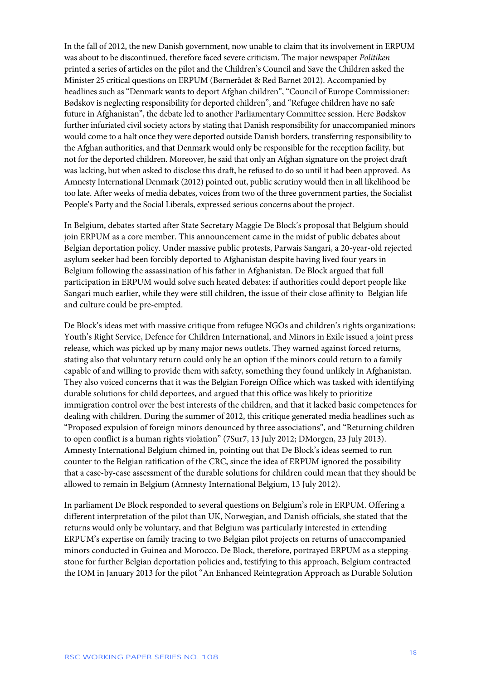In the fall of 2012, the new Danish government, now unable to claim that its involvement in ERPUM was about to be discontinued, therefore faced severe criticism. The major newspaper *Politiken* printed a series of articles on the pilot and the Children's Council and Save the Children asked the Minister 25 critical questions on ERPUM (Børnerådet & Red Barnet 2012). Accompanied by headlines such as "Denmark wants to deport Afghan children", "Council of Europe Commissioner: Bødskov is neglecting responsibility for deported children", and "Refugee children have no safe future in Afghanistan", the debate led to another Parliamentary Committee session. Here Bødskov further infuriated civil society actors by stating that Danish responsibility for unaccompanied minors would come to a halt once they were deported outside Danish borders, transferring responsibility to the Afghan authorities, and that Denmark would only be responsible for the reception facility, but not for the deported children. Moreover, he said that only an Afghan signature on the project draft was lacking, but when asked to disclose this draft, he refused to do so until it had been approved. As Amnesty International Denmark (2012) pointed out, public scrutiny would then in all likelihood be too late. After weeks of media debates, voices from two of the three government parties, the Socialist People's Party and the Social Liberals, expressed serious concerns about the project.

In Belgium, debates started after State Secretary Maggie De Block's proposal that Belgium should join ERPUM as a core member. This announcement came in the midst of public debates about Belgian deportation policy. Under massive public protests, Parwais Sangari, a 20-year-old rejected asylum seeker had been forcibly deported to Afghanistan despite having lived four years in Belgium following the assassination of his father in Afghanistan. De Block argued that full participation in ERPUM would solve such heated debates: if authorities could deport people like Sangari much earlier, while they were still children, the issue of their close affinity to Belgian life and culture could be pre-empted.

De Block's ideas met with massive critique from refugee NGOs and children's rights organizations: Youth's Right Service, Defence for Children International, and Minors in Exile issued a joint press release, which was picked up by many major news outlets. They warned against forced returns, stating also that voluntary return could only be an option if the minors could return to a family capable of and willing to provide them with safety, something they found unlikely in Afghanistan. They also voiced concerns that it was the Belgian Foreign Office which was tasked with identifying durable solutions for child deportees, and argued that this office was likely to prioritize immigration control over the best interests of the children, and that it lacked basic competences for dealing with children. During the summer of 2012, this critique generated media headlines such as "Proposed expulsion of foreign minors denounced by three associations", and "Returning children to open conflict is a human rights violation" (7Sur7, 13 July 2012; DMorgen, 23 July 2013). Amnesty International Belgium chimed in, pointing out that De Block's ideas seemed to run counter to the Belgian ratification of the CRC, since the idea of ERPUM ignored the possibility that a case-by-case assessment of the durable solutions for children could mean that they should be allowed to remain in Belgium (Amnesty International Belgium, 13 July 2012).

In parliament De Block responded to several questions on Belgium's role in ERPUM. Offering a different interpretation of the pilot than UK, Norwegian, and Danish officials, she stated that the returns would only be voluntary, and that Belgium was particularly interested in extending ERPUM's expertise on family tracing to two Belgian pilot projects on returns of unaccompanied minors conducted in Guinea and Morocco. De Block, therefore, portrayed ERPUM as a steppingstone for further Belgian deportation policies and, testifying to this approach, Belgium contracted the IOM in January 2013 for the pilot "An Enhanced Reintegration Approach as Durable Solution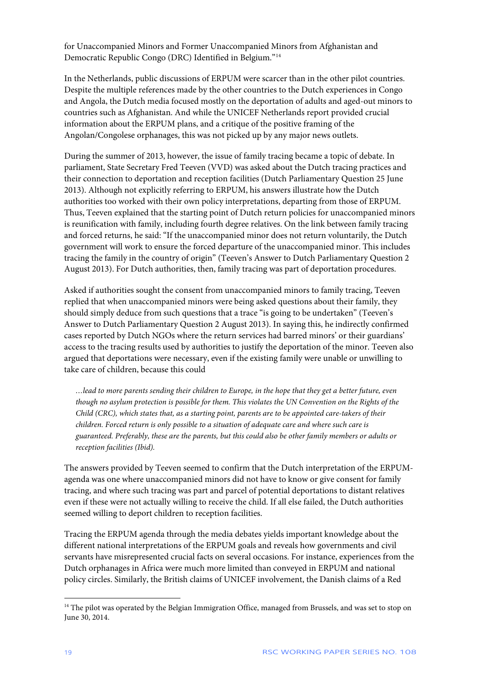for Unaccompanied Minors and Former Unaccompanied Minors from Afghanistan and Democratic Republic Congo (DRC) Identified in Belgium."[14](#page-19-0)

In the Netherlands, public discussions of ERPUM were scarcer than in the other pilot countries. Despite the multiple references made by the other countries to the Dutch experiences in Congo and Angola, the Dutch media focused mostly on the deportation of adults and aged-out minors to countries such as Afghanistan. And while the UNICEF Netherlands report provided crucial information about the ERPUM plans, and a critique of the positive framing of the Angolan/Congolese orphanages, this was not picked up by any major news outlets.

During the summer of 2013, however, the issue of family tracing became a topic of debate. In parliament, State Secretary Fred Teeven (VVD) was asked about the Dutch tracing practices and their connection to deportation and reception facilities (Dutch Parliamentary Question 25 June 2013). Although not explicitly referring to ERPUM, his answers illustrate how the Dutch authorities too worked with their own policy interpretations, departing from those of ERPUM. Thus, Teeven explained that the starting point of Dutch return policies for unaccompanied minors is reunification with family, including fourth degree relatives. On the link between family tracing and forced returns, he said: "If the unaccompanied minor does not return voluntarily, the Dutch government will work to ensure the forced departure of the unaccompanied minor. This includes tracing the family in the country of origin" (Teeven's Answer to Dutch Parliamentary Question 2 August 2013). For Dutch authorities, then, family tracing was part of deportation procedures.

Asked if authorities sought the consent from unaccompanied minors to family tracing, Teeven replied that when unaccompanied minors were being asked questions about their family, they should simply deduce from such questions that a trace "is going to be undertaken" (Teeven's Answer to Dutch Parliamentary Question 2 August 2013). In saying this, he indirectly confirmed cases reported by Dutch NGOs where the return services had barred minors' or their guardians' access to the tracing results used by authorities to justify the deportation of the minor. Teeven also argued that deportations were necessary, even if the existing family were unable or unwilling to take care of children, because this could

*…lead to more parents sending their children to Europe, in the hope that they get a better future, even though no asylum protection is possible for them. This violates the UN Convention on the Rights of the Child (CRC), which states that, as a starting point, parents are to be appointed care-takers of their children. Forced return is only possible to a situation of adequate care and where such care is guaranteed. Preferably, these are the parents, but this could also be other family members or adults or reception facilities (Ibid).*

The answers provided by Teeven seemed to confirm that the Dutch interpretation of the ERPUMagenda was one where unaccompanied minors did not have to know or give consent for family tracing, and where such tracing was part and parcel of potential deportations to distant relatives even if these were not actually willing to receive the child. If all else failed, the Dutch authorities seemed willing to deport children to reception facilities.

Tracing the ERPUM agenda through the media debates yields important knowledge about the different national interpretations of the ERPUM goals and reveals how governments and civil servants have misrepresented crucial facts on several occasions. For instance, experiences from the Dutch orphanages in Africa were much more limited than conveyed in ERPUM and national policy circles. Similarly, the British claims of UNICEF involvement, the Danish claims of a Red

<span id="page-19-0"></span><sup>&</sup>lt;sup>14</sup> The pilot was operated by the Belgian Immigration Office, managed from Brussels, and was set to stop on June 30, 2014.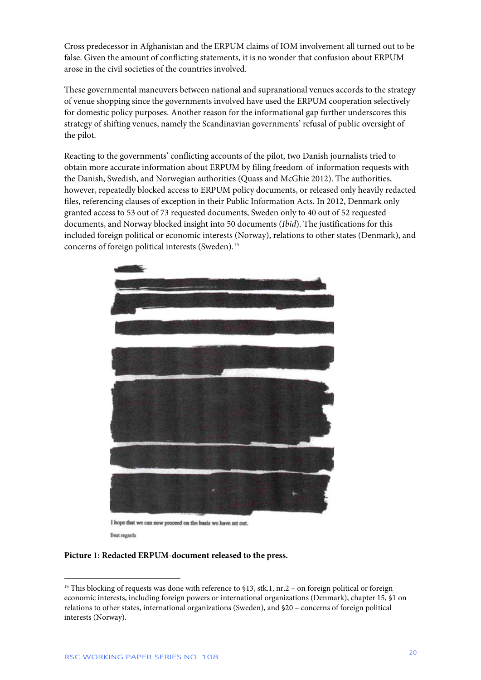Cross predecessor in Afghanistan and the ERPUM claims of IOM involvement all turned out to be false. Given the amount of conflicting statements, it is no wonder that confusion about ERPUM arose in the civil societies of the countries involved.

These governmental maneuvers between national and supranational venues accords to the strategy of venue shopping since the governments involved have used the ERPUM cooperation selectively for domestic policy purposes. Another reason for the informational gap further underscores this strategy of shifting venues, namely the Scandinavian governments' refusal of public oversight of the pilot.

Reacting to the governments' conflicting accounts of the pilot, two Danish journalists tried to obtain more accurate information about ERPUM by filing freedom-of-information requests with the Danish, Swedish, and Norwegian authorities (Quass and McGhie 2012). The authorities, however, repeatedly blocked access to ERPUM policy documents, or released only heavily redacted files, referencing clauses of exception in their Public Information Acts. In 2012, Denmark only granted access to 53 out of 73 requested documents, Sweden only to 40 out of 52 requested documents, and Norway blocked insight into 50 documents (*Ibid*). The justifications for this included foreign political or economic interests (Norway), relations to other states (Denmark), and concerns of foreign political interests (Sweden).<sup>[15](#page-20-0)</sup>



I hope that we can now proceed on the basis we have set out. Best regards

#### **Picture 1: Redacted ERPUM-document released to the press.**

<span id="page-20-0"></span><sup>&</sup>lt;sup>15</sup> This blocking of requests was done with reference to \$13, stk.1, nr.2 - on foreign political or foreign economic interests, including foreign powers or international organizations (Denmark), chapter 15, §1 on relations to other states, international organizations (Sweden), and §20 – concerns of foreign political interests (Norway).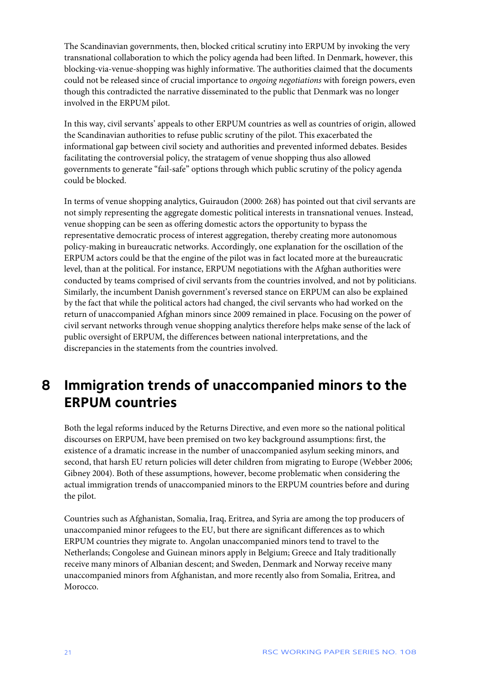The Scandinavian governments, then, blocked critical scrutiny into ERPUM by invoking the very transnational collaboration to which the policy agenda had been lifted. In Denmark, however, this blocking-via-venue-shopping was highly informative. The authorities claimed that the documents could not be released since of crucial importance to *ongoing negotiations* with foreign powers, even though this contradicted the narrative disseminated to the public that Denmark was no longer involved in the ERPUM pilot.

In this way, civil servants' appeals to other ERPUM countries as well as countries of origin, allowed the Scandinavian authorities to refuse public scrutiny of the pilot. This exacerbated the informational gap between civil society and authorities and prevented informed debates. Besides facilitating the controversial policy, the stratagem of venue shopping thus also allowed governments to generate "fail-safe" options through which public scrutiny of the policy agenda could be blocked.

In terms of venue shopping analytics, Guiraudon (2000: 268) has pointed out that civil servants are not simply representing the aggregate domestic political interests in transnational venues. Instead, venue shopping can be seen as offering domestic actors the opportunity to bypass the representative democratic process of interest aggregation, thereby creating more autonomous policy-making in bureaucratic networks. Accordingly, one explanation for the oscillation of the ERPUM actors could be that the engine of the pilot was in fact located more at the bureaucratic level, than at the political. For instance, ERPUM negotiations with the Afghan authorities were conducted by teams comprised of civil servants from the countries involved, and not by politicians. Similarly, the incumbent Danish government's reversed stance on ERPUM can also be explained by the fact that while the political actors had changed, the civil servants who had worked on the return of unaccompanied Afghan minors since 2009 remained in place. Focusing on the power of civil servant networks through venue shopping analytics therefore helps make sense of the lack of public oversight of ERPUM, the differences between national interpretations, and the discrepancies in the statements from the countries involved.

# <span id="page-21-0"></span>**8 Immigration trends of unaccompanied minors to the ERPUM countries**

Both the legal reforms induced by the Returns Directive, and even more so the national political discourses on ERPUM, have been premised on two key background assumptions: first, the existence of a dramatic increase in the number of unaccompanied asylum seeking minors, and second, that harsh EU return policies will deter children from migrating to Europe (Webber 2006; Gibney 2004). Both of these assumptions, however, become problematic when considering the actual immigration trends of unaccompanied minors to the ERPUM countries before and during the pilot.

Countries such as Afghanistan, Somalia, Iraq, Eritrea, and Syria are among the top producers of unaccompanied minor refugees to the EU, but there are significant differences as to which ERPUM countries they migrate to. Angolan unaccompanied minors tend to travel to the Netherlands; Congolese and Guinean minors apply in Belgium; Greece and Italy traditionally receive many minors of Albanian descent; and Sweden, Denmark and Norway receive many unaccompanied minors from Afghanistan, and more recently also from Somalia, Eritrea, and Morocco.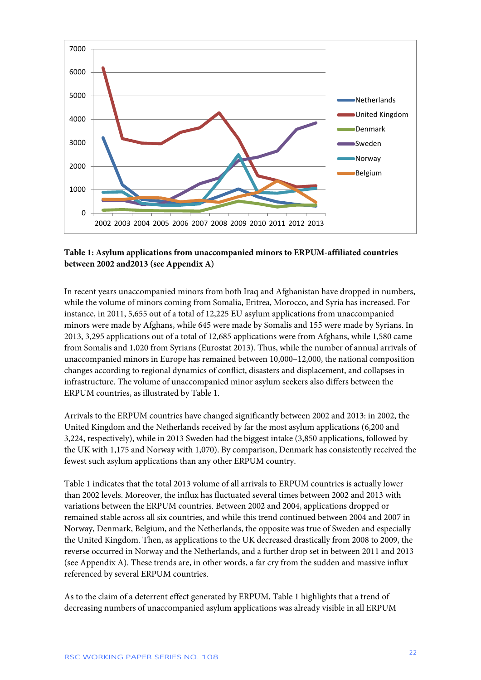

### **Table 1: Asylum applications from unaccompanied minors to ERPUM-affiliated countries between 2002 and2013 (see Appendix A)**

In recent years unaccompanied minors from both Iraq and Afghanistan have dropped in numbers, while the volume of minors coming from Somalia, Eritrea, Morocco, and Syria has increased. For instance, in 2011, 5,655 out of a total of 12,225 EU asylum applications from unaccompanied minors were made by Afghans, while 645 were made by Somalis and 155 were made by Syrians. In 2013, 3,295 applications out of a total of 12,685 applications were from Afghans, while 1,580 came from Somalis and 1,020 from Syrians (Eurostat 2013). Thus, while the number of annual arrivals of unaccompanied minors in Europe has remained between 10,000–12,000, the national composition changes according to regional dynamics of conflict, disasters and displacement, and collapses in infrastructure. The volume of unaccompanied minor asylum seekers also differs between the ERPUM countries, as illustrated by Table 1.

Arrivals to the ERPUM countries have changed significantly between 2002 and 2013: in 2002, the United Kingdom and the Netherlands received by far the most asylum applications (6,200 and 3,224, respectively), while in 2013 Sweden had the biggest intake (3,850 applications, followed by the UK with 1,175 and Norway with 1,070). By comparison, Denmark has consistently received the fewest such asylum applications than any other ERPUM country.

Table 1 indicates that the total 2013 volume of all arrivals to ERPUM countries is actually lower than 2002 levels. Moreover, the influx has fluctuated several times between 2002 and 2013 with variations between the ERPUM countries. Between 2002 and 2004, applications dropped or remained stable across all six countries, and while this trend continued between 2004 and 2007 in Norway, Denmark, Belgium, and the Netherlands, the opposite was true of Sweden and especially the United Kingdom. Then, as applications to the UK decreased drastically from 2008 to 2009, the reverse occurred in Norway and the Netherlands, and a further drop set in between 2011 and 2013 (see Appendix A). These trends are, in other words, a far cry from the sudden and massive influx referenced by several ERPUM countries.

As to the claim of a deterrent effect generated by ERPUM, Table 1 highlights that a trend of decreasing numbers of unaccompanied asylum applications was already visible in all ERPUM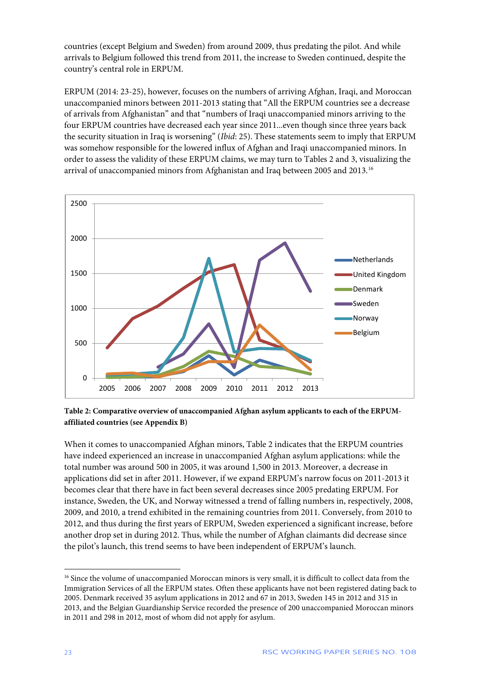countries (except Belgium and Sweden) from around 2009, thus predating the pilot. And while arrivals to Belgium followed this trend from 2011, the increase to Sweden continued, despite the country's central role in ERPUM.

ERPUM (2014: 23-25), however, focuses on the numbers of arriving Afghan, Iraqi, and Moroccan unaccompanied minors between 2011-2013 stating that "All the ERPUM countries see a decrease of arrivals from Afghanistan" and that "numbers of Iraqi unaccompanied minors arriving to the four ERPUM countries have decreased each year since 2011...even though since three years back the security situation in Iraq is worsening" (*Ibid*: 25). These statements seem to imply that ERPUM was somehow responsible for the lowered influx of Afghan and Iraqi unaccompanied minors. In order to assess the validity of these ERPUM claims, we may turn to Tables 2 and 3, visualizing the arrival of unaccompanied minors from Afghanistan and Iraq between 2005 and 2013.<sup>[16](#page-23-0)</sup>



**Table 2: Comparative overview of unaccompanied Afghan asylum applicants to each of the ERPUMaffiliated countries (see Appendix B)**

When it comes to unaccompanied Afghan minors, Table 2 indicates that the ERPUM countries have indeed experienced an increase in unaccompanied Afghan asylum applications: while the total number was around 500 in 2005, it was around 1,500 in 2013. Moreover, a decrease in applications did set in after 2011. However, if we expand ERPUM's narrow focus on 2011-2013 it becomes clear that there have in fact been several decreases since 2005 predating ERPUM. For instance, Sweden, the UK, and Norway witnessed a trend of falling numbers in, respectively, 2008, 2009, and 2010, a trend exhibited in the remaining countries from 2011. Conversely, from 2010 to 2012, and thus during the first years of ERPUM, Sweden experienced a significant increase, before another drop set in during 2012. Thus, while the number of Afghan claimants did decrease since the pilot's launch, this trend seems to have been independent of ERPUM's launch.

<span id="page-23-0"></span><sup>&</sup>lt;sup>16</sup> Since the volume of unaccompanied Moroccan minors is very small, it is difficult to collect data from the Immigration Services of all the ERPUM states. Often these applicants have not been registered dating back to 2005. Denmark received 35 asylum applications in 2012 and 67 in 2013, Sweden 145 in 2012 and 315 in 2013, and the Belgian Guardianship Service recorded the presence of 200 unaccompanied Moroccan minors in 2011 and 298 in 2012, most of whom did not apply for asylum.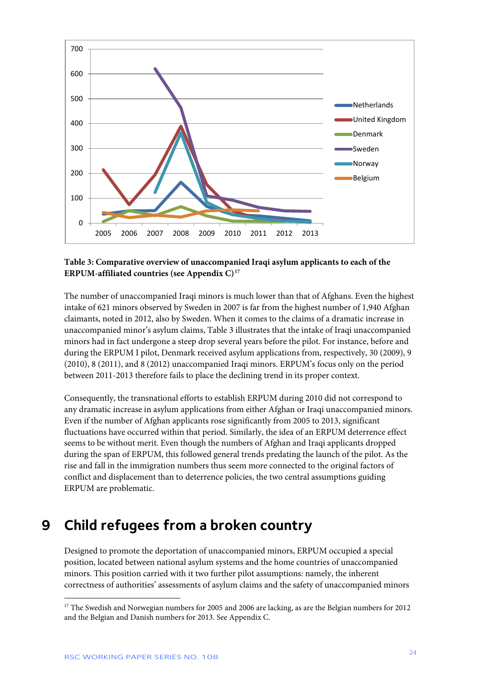

### **Table 3: Comparative overview of unaccompanied Iraqi asylum applicants to each of the ERPUM-affiliated countries (see Appendix C)[17](#page-24-1)**

The number of unaccompanied Iraqi minors is much lower than that of Afghans. Even the highest intake of 621 minors observed by Sweden in 2007 is far from the highest number of 1,940 Afghan claimants, noted in 2012, also by Sweden. When it comes to the claims of a dramatic increase in unaccompanied minor's asylum claims, Table 3 illustrates that the intake of Iraqi unaccompanied minors had in fact undergone a steep drop several years before the pilot. For instance, before and during the ERPUM I pilot, Denmark received asylum applications from, respectively, 30 (2009), 9 (2010), 8 (2011), and 8 (2012) unaccompanied Iraqi minors. ERPUM's focus only on the period between 2011-2013 therefore fails to place the declining trend in its proper context.

Consequently, the transnational efforts to establish ERPUM during 2010 did not correspond to any dramatic increase in asylum applications from either Afghan or Iraqi unaccompanied minors. Even if the number of Afghan applicants rose significantly from 2005 to 2013, significant fluctuations have occurred within that period. Similarly, the idea of an ERPUM deterrence effect seems to be without merit. Even though the numbers of Afghan and Iraqi applicants dropped during the span of ERPUM, this followed general trends predating the launch of the pilot. As the rise and fall in the immigration numbers thus seem more connected to the original factors of conflict and displacement than to deterrence policies, the two central assumptions guiding ERPUM are problematic.

## <span id="page-24-0"></span>**9 Child refugees from a broken country**

Designed to promote the deportation of unaccompanied minors, ERPUM occupied a special position, located between national asylum systems and the home countries of unaccompanied minors. This position carried with it two further pilot assumptions: namely, the inherent correctness of authorities' assessments of asylum claims and the safety of unaccompanied minors

<span id="page-24-1"></span><sup>&</sup>lt;sup>17</sup> The Swedish and Norwegian numbers for 2005 and 2006 are lacking, as are the Belgian numbers for 2012 and the Belgian and Danish numbers for 2013. See Appendix C.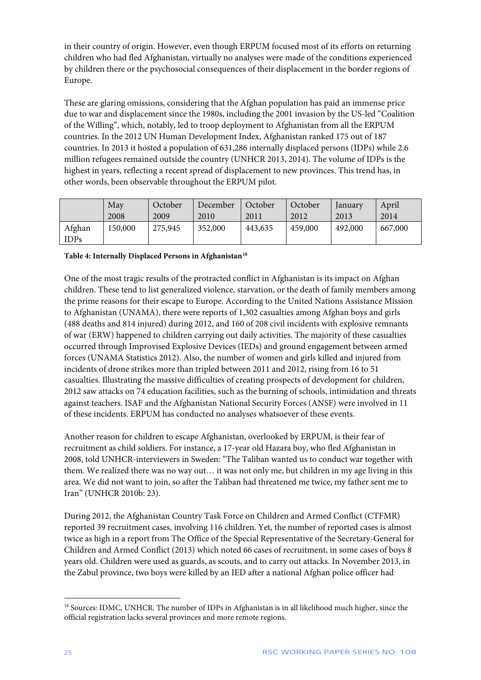in their country of origin. However, even though ERPUM focused most of its efforts on returning children who had fled Afghanistan, virtually no analyses were made of the conditions experienced by children there or the psychosocial consequences of their displacement in the border regions of Europe.

These are glaring omissions, considering that the Afghan population has paid an immense price due to war and displacement since the 1980s, including the 2001 invasion by the US-led "Coalition of the Willing", which, notably, led to troop deployment to Afghanistan from all the ERPUM countries. In the 2012 UN Human Development Index, Afghanistan ranked 175 out of 187 countries. In 2013 it hosted a population of 631,286 internally displaced persons (IDPs) while 2.6 million refugees remained outside the country (UNHCR 2013, 2014). The volume of IDPs is the highest in years, reflecting a recent spread of displacement to new provinces. This trend has, in other words, been observable throughout the ERPUM pilot.

|        | May     | October | December | October | October | January | April   |
|--------|---------|---------|----------|---------|---------|---------|---------|
|        | 2008    | 2009    | 2010     | 2011    | 2012    | 2013    | 2014    |
| Afghan | 150,000 | 275,945 | 352,000  | 443,635 | 459,000 | 492,000 | 667,000 |
| IDPs   |         |         |          |         |         |         |         |

#### **Table 4: Internally Displaced Persons in Afghanistan[18](#page-25-0)**

One of the most tragic results of the protracted conflict in Afghanistan is its impact on Afghan children. These tend to list generalized violence, starvation, or the death of family members among the prime reasons for their escape to Europe. According to the United Nations Assistance Mission to Afghanistan (UNAMA), there were reports of 1,302 casualties among Afghan boys and girls (488 deaths and 814 injured) during 2012, and 160 of 208 civil incidents with explosive remnants of war (ERW) happened to children carrying out daily activities. The majority of these casualties occurred through Improvised Explosive Devices (IEDs) and ground engagement between armed forces (UNAMA Statistics 2012). Also, the number of women and girls killed and injured from incidents of drone strikes more than tripled between 2011 and 2012, rising from 16 to 51 casualties. Illustrating the massive difficulties of creating prospects of development for children, 2012 saw attacks on 74 education facilities, such as the burning of schools, intimidation and threats against teachers. ISAF and the Afghanistan National Security Forces (ANSF) were involved in 11 of these incidents. ERPUM has conducted no analyses whatsoever of these events.

Another reason for children to escape Afghanistan, overlooked by ERPUM, is their fear of recruitment as child soldiers. For instance, a 17-year old Hazara boy, who fled Afghanistan in 2008, told UNHCR-interviewers in Sweden: "The Taliban wanted us to conduct war together with them. We realized there was no way out… it was not only me, but children in my age living in this area. We did not want to join, so after the Taliban had threatened me twice, my father sent me to Iran" (UNHCR 2010b: 23).

During 2012, the Afghanistan Country Task Force on Children and Armed Conflict (CTFMR) reported 39 recruitment cases, involving 116 children. Yet, the number of reported cases is almost twice as high in a report from The Office of the Special Representative of the Secretary-General for Children and Armed Conflict (2013) which noted 66 cases of recruitment, in some cases of boys 8 years old. Children were used as guards, as scouts, and to carry out attacks. In November 2013, in the Zabul province, two boys were killed by an IED after a national Afghan police officer had

<span id="page-25-0"></span><sup>&</sup>lt;sup>18</sup> Sources: IDMC, UNHCR. The number of IDPs in Afghanistan is in all likelihood much higher, since the official registration lacks several provinces and more remote regions.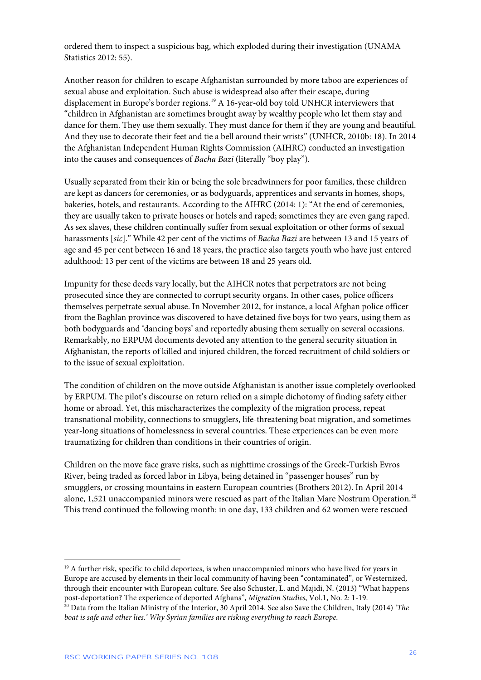ordered them to inspect a suspicious bag, which exploded during their investigation (UNAMA Statistics 2012: 55).

Another reason for children to escape Afghanistan surrounded by more taboo are experiences of sexual abuse and exploitation. Such abuse is widespread also after their escape, during displacement in Europe's border regions.<sup>[19](#page-26-0)</sup> A 16-year-old boy told UNHCR interviewers that "children in Afghanistan are sometimes brought away by wealthy people who let them stay and dance for them. They use them sexually. They must dance for them if they are young and beautiful. And they use to decorate their feet and tie a bell around their wrists" (UNHCR, 2010b: 18). In 2014 the Afghanistan Independent Human Rights Commission (AIHRC) conducted an investigation into the causes and consequences of *Bacha Bazi* (literally "boy play").

Usually separated from their kin or being the sole breadwinners for poor families, these children are kept as dancers for ceremonies, or as bodyguards, apprentices and servants in homes, shops, bakeries, hotels, and restaurants. According to the AIHRC (2014: 1): "At the end of ceremonies, they are usually taken to private houses or hotels and raped; sometimes they are even gang raped. As sex slaves, these children continually suffer from sexual exploitation or other forms of sexual harassments [*sic*]." While 42 per cent of the victims of *Bacha Bazi* are between 13 and 15 years of age and 45 per cent between 16 and 18 years, the practice also targets youth who have just entered adulthood: 13 per cent of the victims are between 18 and 25 years old.

Impunity for these deeds vary locally, but the AIHCR notes that perpetrators are not being prosecuted since they are connected to corrupt security organs. In other cases, police officers themselves perpetrate sexual abuse. In November 2012, for instance, a local Afghan police officer from the Baghlan province was discovered to have detained five boys for two years, using them as both bodyguards and 'dancing boys' and reportedly abusing them sexually on several occasions. Remarkably, no ERPUM documents devoted any attention to the general security situation in Afghanistan, the reports of killed and injured children, the forced recruitment of child soldiers or to the issue of sexual exploitation.

The condition of children on the move outside Afghanistan is another issue completely overlooked by ERPUM. The pilot's discourse on return relied on a simple dichotomy of finding safety either home or abroad. Yet, this mischaracterizes the complexity of the migration process, repeat transnational mobility, connections to smugglers, life-threatening boat migration, and sometimes year-long situations of homelessness in several countries. These experiences can be even more traumatizing for children than conditions in their countries of origin.

Children on the move face grave risks, such as nighttime crossings of the Greek-Turkish Evros River, being traded as forced labor in Libya, being detained in "passenger houses" run by smugglers, or crossing mountains in eastern European countries (Brothers 2012). In April 2014 alone, 1,521 unaccompanied minors were rescued as part of the Italian Mare Nostrum Operation.<sup>[20](#page-26-1)</sup> This trend continued the following month: in one day, 133 children and 62 women were rescued

<span id="page-26-0"></span><sup>&</sup>lt;sup>19</sup> A further risk, specific to child deportees, is when unaccompanied minors who have lived for years in Europe are accused by elements in their local community of having been "contaminated", or Westernized, through their encounter with European culture. See also Schuster, L. and Majidi, N. (2013) "What happens post-deportation? The experience of deported Afghans", *Migration Studies*, Vol.1, No. 2: 1-19.

<span id="page-26-1"></span><sup>20</sup> Data from the Italian Ministry of the Interior, 30 April 2014. See also Save the Children, Italy (2014) *'The boat is safe and other lies.' Why Syrian families are risking everything to reach Europe*.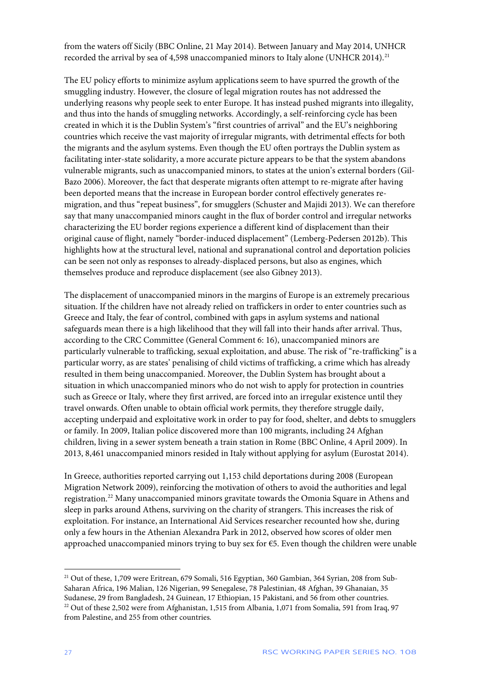from the waters off Sicily (BBC Online, 21 May 2014). Between January and May 2014, UNHCR recorded the arrival by sea of 4,598 unaccompanied minors to Italy alone (UNHCR 2014).<sup>[21](#page-27-0)</sup>

The EU policy efforts to minimize asylum applications seem to have spurred the growth of the smuggling industry. However, the closure of legal migration routes has not addressed the underlying reasons why people seek to enter Europe. It has instead pushed migrants into illegality, and thus into the hands of smuggling networks. Accordingly, a self-reinforcing cycle has been created in which it is the Dublin System's "first countries of arrival" and the EU's neighboring countries which receive the vast majority of irregular migrants, with detrimental effects for both the migrants and the asylum systems. Even though the EU often portrays the Dublin system as facilitating inter-state solidarity, a more accurate picture appears to be that the system abandons vulnerable migrants, such as unaccompanied minors, to states at the union's external borders (Gil-Bazo 2006). Moreover, the fact that desperate migrants often attempt to re-migrate after having been deported means that the increase in European border control effectively generates remigration, and thus "repeat business", for smugglers (Schuster and Majidi 2013). We can therefore say that many unaccompanied minors caught in the flux of border control and irregular networks characterizing the EU border regions experience a different kind of displacement than their original cause of flight, namely "border-induced displacement" (Lemberg-Pedersen 2012b). This highlights how at the structural level, national and supranational control and deportation policies can be seen not only as responses to already-displaced persons, but also as engines, which themselves produce and reproduce displacement (see also Gibney 2013).

The displacement of unaccompanied minors in the margins of Europe is an extremely precarious situation. If the children have not already relied on traffickers in order to enter countries such as Greece and Italy, the fear of control, combined with gaps in asylum systems and national safeguards mean there is a high likelihood that they will fall into their hands after arrival. Thus, according to the CRC Committee (General Comment 6: 16), unaccompanied minors are particularly vulnerable to trafficking, sexual exploitation, and abuse. The risk of "re-trafficking" is a particular worry, as are states' penalising of child victims of trafficking, a crime which has already resulted in them being unaccompanied. Moreover, the Dublin System has brought about a situation in which unaccompanied minors who do not wish to apply for protection in countries such as Greece or Italy, where they first arrived, are forced into an irregular existence until they travel onwards. Often unable to obtain official work permits, they therefore struggle daily, accepting underpaid and exploitative work in order to pay for food, shelter, and debts to smugglers or family. In 2009, Italian police discovered more than 100 migrants, including 24 Afghan children, living in a sewer system beneath a train station in Rome (BBC Online, 4 April 2009). In 2013, 8,461 unaccompanied minors resided in Italy without applying for asylum (Eurostat 2014).

In Greece, authorities reported carrying out 1,153 child deportations during 2008 (European Migration Network 2009), reinforcing the motivation of others to avoid the authorities and legal registration.<sup>[22](#page-27-1)</sup> Many unaccompanied minors gravitate towards the Omonia Square in Athens and sleep in parks around Athens, surviving on the charity of strangers. This increases the risk of exploitation. For instance, an International Aid Services researcher recounted how she, during only a few hours in the Athenian Alexandra Park in 2012, observed how scores of older men approached unaccompanied minors trying to buy sex for  $\epsilon$ 5. Even though the children were unable

<span id="page-27-1"></span><span id="page-27-0"></span><sup>&</sup>lt;sup>21</sup> Out of these, 1,709 were Eritrean, 679 Somali, 516 Egyptian, 360 Gambian, 364 Syrian, 208 from Sub-Saharan Africa, 196 Malian, 126 Nigerian, 99 Senegalese, 78 Palestinian, 48 Afghan, 39 Ghanaian, 35 Sudanese, 29 from Bangladesh, 24 Guinean, 17 Ethiopian, 15 Pakistani, and 56 from other countries. <sup>22</sup> Out of these 2,502 were from Afghanistan, 1,515 from Albania, 1,071 from Somalia, 591 from Iraq, 97 from Palestine, and 255 from other countries.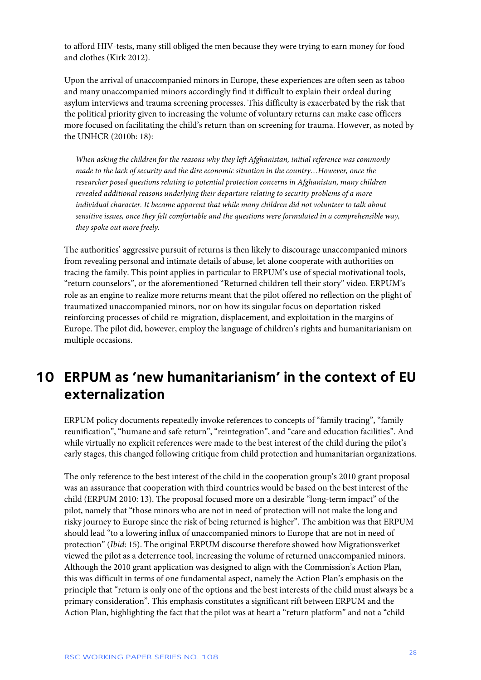to afford HIV-tests, many still obliged the men because they were trying to earn money for food and clothes (Kirk 2012).

Upon the arrival of unaccompanied minors in Europe, these experiences are often seen as taboo and many unaccompanied minors accordingly find it difficult to explain their ordeal during asylum interviews and trauma screening processes. This difficulty is exacerbated by the risk that the political priority given to increasing the volume of voluntary returns can make case officers more focused on facilitating the child's return than on screening for trauma. However, as noted by the UNHCR (2010b: 18):

*When asking the children for the reasons why they left Afghanistan, initial reference was commonly made to the lack of security and the dire economic situation in the country…However, once the researcher posed questions relating to potential protection concerns in Afghanistan, many children revealed additional reasons underlying their departure relating to security problems of a more individual character. It became apparent that while many children did not volunteer to talk about sensitive issues, once they felt comfortable and the questions were formulated in a comprehensible way, they spoke out more freely.*

The authorities' aggressive pursuit of returns is then likely to discourage unaccompanied minors from revealing personal and intimate details of abuse, let alone cooperate with authorities on tracing the family. This point applies in particular to ERPUM's use of special motivational tools, "return counselors", or the aforementioned "Returned children tell their story" video. ERPUM's role as an engine to realize more returns meant that the pilot offered no reflection on the plight of traumatized unaccompanied minors, nor on how its singular focus on deportation risked reinforcing processes of child re-migration, displacement, and exploitation in the margins of Europe. The pilot did, however, employ the language of children's rights and humanitarianism on multiple occasions.

### <span id="page-28-0"></span>**10 ERPUM as 'new humanitarianism' in the context of EU externalization**

ERPUM policy documents repeatedly invoke references to concepts of "family tracing", "family reunification", "humane and safe return", "reintegration", and "care and education facilities". And while virtually no explicit references were made to the best interest of the child during the pilot's early stages, this changed following critique from child protection and humanitarian organizations.

The only reference to the best interest of the child in the cooperation group's 2010 grant proposal was an assurance that cooperation with third countries would be based on the best interest of the child (ERPUM 2010: 13). The proposal focused more on a desirable "long-term impact" of the pilot, namely that "those minors who are not in need of protection will not make the long and risky journey to Europe since the risk of being returned is higher". The ambition was that ERPUM should lead "to a lowering influx of unaccompanied minors to Europe that are not in need of protection" (*Ibid*: 15). The original ERPUM discourse therefore showed how Migrationsverket viewed the pilot as a deterrence tool, increasing the volume of returned unaccompanied minors. Although the 2010 grant application was designed to align with the Commission's Action Plan, this was difficult in terms of one fundamental aspect, namely the Action Plan's emphasis on the principle that "return is only one of the options and the best interests of the child must always be a primary consideration". This emphasis constitutes a significant rift between ERPUM and the Action Plan, highlighting the fact that the pilot was at heart a "return platform" and not a "child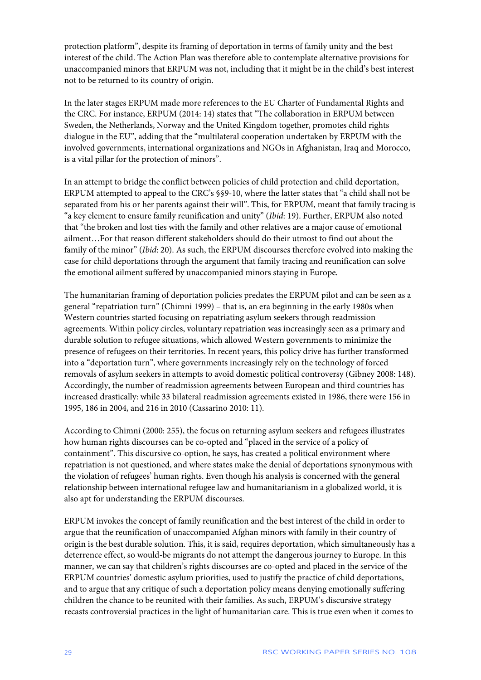protection platform", despite its framing of deportation in terms of family unity and the best interest of the child. The Action Plan was therefore able to contemplate alternative provisions for unaccompanied minors that ERPUM was not, including that it might be in the child's best interest not to be returned to its country of origin.

In the later stages ERPUM made more references to the EU Charter of Fundamental Rights and the CRC. For instance, ERPUM (2014: 14) states that "The collaboration in ERPUM between Sweden, the Netherlands, Norway and the United Kingdom together, promotes child rights dialogue in the EU", adding that the "multilateral cooperation undertaken by ERPUM with the involved governments, international organizations and NGOs in Afghanistan, Iraq and Morocco, is a vital pillar for the protection of minors".

In an attempt to bridge the conflict between policies of child protection and child deportation, ERPUM attempted to appeal to the CRC's §§9-10, where the latter states that "a child shall not be separated from his or her parents against their will". This, for ERPUM, meant that family tracing is "a key element to ensure family reunification and unity" (*Ibid*: 19). Further, ERPUM also noted that "the broken and lost ties with the family and other relatives are a major cause of emotional ailment…For that reason different stakeholders should do their utmost to find out about the family of the minor" (*Ibid*: 20). As such, the ERPUM discourses therefore evolved into making the case for child deportations through the argument that family tracing and reunification can solve the emotional ailment suffered by unaccompanied minors staying in Europe.

The humanitarian framing of deportation policies predates the ERPUM pilot and can be seen as a general "repatriation turn" (Chimni 1999) – that is, an era beginning in the early 1980s when Western countries started focusing on repatriating asylum seekers through readmission agreements. Within policy circles, voluntary repatriation was increasingly seen as a primary and durable solution to refugee situations, which allowed Western governments to minimize the presence of refugees on their territories. In recent years, this policy drive has further transformed into a "deportation turn", where governments increasingly rely on the technology of forced removals of asylum seekers in attempts to avoid domestic political controversy (Gibney 2008: 148). Accordingly, the number of readmission agreements between European and third countries has increased drastically: while 33 bilateral readmission agreements existed in 1986, there were 156 in 1995, 186 in 2004, and 216 in 2010 (Cassarino 2010: 11).

According to Chimni (2000: 255), the focus on returning asylum seekers and refugees illustrates how human rights discourses can be co-opted and "placed in the service of a policy of containment". This discursive co-option, he says, has created a political environment where repatriation is not questioned, and where states make the denial of deportations synonymous with the violation of refugees' human rights. Even though his analysis is concerned with the general relationship between international refugee law and humanitarianism in a globalized world, it is also apt for understanding the ERPUM discourses.

ERPUM invokes the concept of family reunification and the best interest of the child in order to argue that the reunification of unaccompanied Afghan minors with family in their country of origin is the best durable solution. This, it is said, requires deportation, which simultaneously has a deterrence effect, so would-be migrants do not attempt the dangerous journey to Europe. In this manner, we can say that children's rights discourses are co-opted and placed in the service of the ERPUM countries' domestic asylum priorities, used to justify the practice of child deportations, and to argue that any critique of such a deportation policy means denying emotionally suffering children the chance to be reunited with their families. As such, ERPUM's discursive strategy recasts controversial practices in the light of humanitarian care. This is true even when it comes to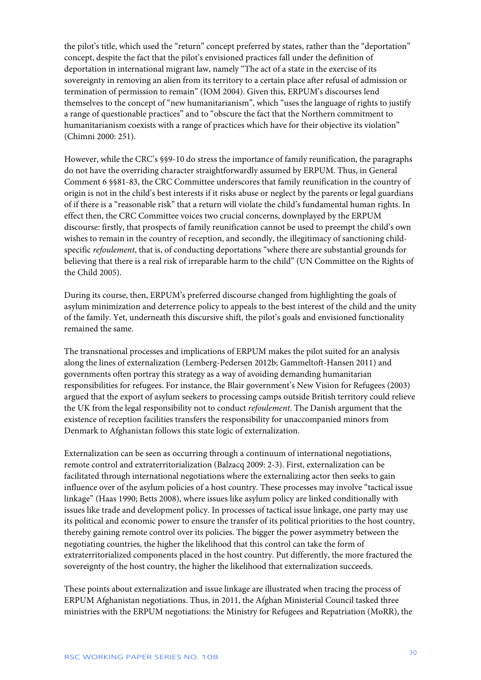the pilot's title, which used the "return" concept preferred by states, rather than the "deportation" concept, despite the fact that the pilot's envisioned practices fall under the definition of deportation in international migrant law, namely "The act of a state in the exercise of its sovereignty in removing an alien from its territory to a certain place after refusal of admission or termination of permission to remain" (IOM 2004). Given this, ERPUM's discourses lend themselves to the concept of "new humanitarianism", which "uses the language of rights to justify a range of questionable practices" and to "obscure the fact that the Northern commitment to humanitarianism coexists with a range of practices which have for their objective its violation" (Chimni 2000: 251).

However, while the CRC's §§9-10 do stress the importance of family reunification, the paragraphs do not have the overriding character straightforwardly assumed by ERPUM. Thus, in General Comment 6 §§81-83, the CRC Committee underscores that family reunification in the country of origin is not in the child's best interests if it risks abuse or neglect by the parents or legal guardians of if there is a "reasonable risk" that a return will violate the child's fundamental human rights. In effect then, the CRC Committee voices two crucial concerns, downplayed by the ERPUM discourse: firstly, that prospects of family reunification cannot be used to preempt the child's own wishes to remain in the country of reception, and secondly, the illegitimacy of sanctioning childspecific *refoulement*, that is, of conducting deportations "where there are substantial grounds for believing that there is a real risk of irreparable harm to the child" (UN Committee on the Rights of the Child 2005).

During its course, then, ERPUM's preferred discourse changed from highlighting the goals of asylum minimization and deterrence policy to appeals to the best interest of the child and the unity of the family. Yet, underneath this discursive shift, the pilot's goals and envisioned functionality remained the same.

The transnational processes and implications of ERPUM makes the pilot suited for an analysis along the lines of externalization (Lemberg-Pedersen 2012b; Gammeltoft-Hansen 2011) and governments often portray this strategy as a way of avoiding demanding humanitarian responsibilities for refugees. For instance, the Blair government's New Vision for Refugees (2003) argued that the export of asylum seekers to processing camps outside British territory could relieve the UK from the legal responsibility not to conduct *refoulement*. The Danish argument that the existence of reception facilities transfers the responsibility for unaccompanied minors from Denmark to Afghanistan follows this state logic of externalization.

Externalization can be seen as occurring through a continuum of international negotiations, remote control and extraterritorialization (Balzacq 2009: 2-3). First, externalization can be facilitated through international negotiations where the externalizing actor then seeks to gain influence over of the asylum policies of a host country. These processes may involve "tactical issue linkage" (Haas 1990; Betts 2008), where issues like asylum policy are linked conditionally with issues like trade and development policy. In processes of tactical issue linkage, one party may use its political and economic power to ensure the transfer of its political priorities to the host country, thereby gaining remote control over its policies. The bigger the power asymmetry between the negotiating countries, the higher the likelihood that this control can take the form of extraterritorialized components placed in the host country. Put differently, the more fractured the sovereignty of the host country, the higher the likelihood that externalization succeeds.

These points about externalization and issue linkage are illustrated when tracing the process of ERPUM Afghanistan negotiations. Thus, in 2011, the Afghan Ministerial Council tasked three ministries with the ERPUM negotiations: the Ministry for Refugees and Repatriation (MoRR), the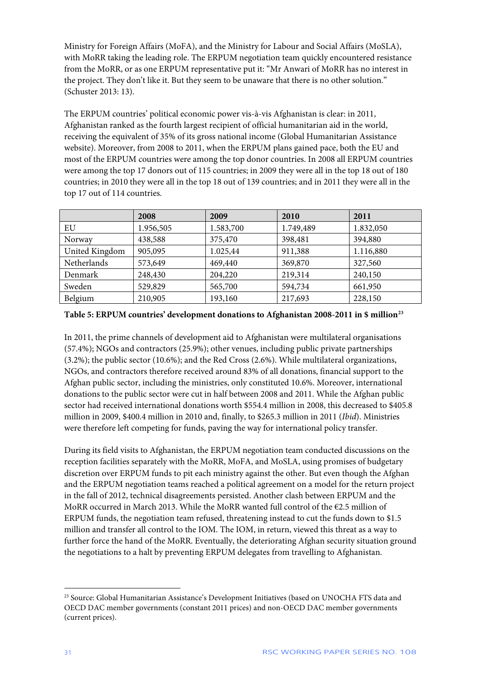Ministry for Foreign Affairs (MoFA), and the Ministry for Labour and Social Affairs (MoSLA), with MoRR taking the leading role. The ERPUM negotiation team quickly encountered resistance from the MoRR, or as one ERPUM representative put it: "Mr Anwari of MoRR has no interest in the project. They don't like it. But they seem to be unaware that there is no other solution." (Schuster 2013: 13).

The ERPUM countries' political economic power vis-à-vis Afghanistan is clear: in 2011, Afghanistan ranked as the fourth largest recipient of official humanitarian aid in the world, receiving the equivalent of 35% of its gross national income (Global Humanitarian Assistance website). Moreover, from 2008 to 2011, when the ERPUM plans gained pace, both the EU and most of the ERPUM countries were among the top donor countries. In 2008 all ERPUM countries were among the top 17 donors out of 115 countries; in 2009 they were all in the top 18 out of 180 countries; in 2010 they were all in the top 18 out of 139 countries; and in 2011 they were all in the top 17 out of 114 countries.

|                | 2008      | 2009      | 2010      | 2011      |
|----------------|-----------|-----------|-----------|-----------|
| EU             | 1.956,505 | 1.583,700 | 1.749,489 | 1.832,050 |
| Norway         | 438,588   | 375,470   | 398,481   | 394,880   |
| United Kingdom | 905,095   | 1.025,44  | 911,388   | 1.116,880 |
| Netherlands    | 573,649   | 469,440   | 369,870   | 327,560   |
| Denmark        | 248,430   | 204,220   | 219,314   | 240,150   |
| Sweden         | 529,829   | 565,700   | 594,734   | 661,950   |
| Belgium        | 210,905   | 193,160   | 217,693   | 228,150   |

**Table 5: ERPUM countries' development donations to Afghanistan 2008-2011 in \$ million[23](#page-31-0)**

In 2011, the prime channels of development aid to Afghanistan were multilateral organisations (57.4%); NGOs and contractors (25.9%); other venues, including public private partnerships (3.2%); the public sector (10.6%); and the Red Cross (2.6%). While multilateral organizations, NGOs, and contractors therefore received around 83% of all donations, financial support to the Afghan public sector, including the ministries, only constituted 10.6%. Moreover, international donations to the public sector were cut in half between 2008 and 2011. While the Afghan public sector had received international donations worth \$554.4 million in 2008, this decreased to \$405.8 million in 2009, \$400.4 million in 2010 and, finally, to \$265.3 million in 2011 (*Ibid*). Ministries were therefore left competing for funds, paving the way for international policy transfer.

During its field visits to Afghanistan, the ERPUM negotiation team conducted discussions on the reception facilities separately with the MoRR, MoFA, and MoSLA, using promises of budgetary discretion over ERPUM funds to pit each ministry against the other. But even though the Afghan and the ERPUM negotiation teams reached a political agreement on a model for the return project in the fall of 2012, technical disagreements persisted. Another clash between ERPUM and the MoRR occurred in March 2013. While the MoRR wanted full control of the  $E$ 2.5 million of ERPUM funds, the negotiation team refused, threatening instead to cut the funds down to \$1.5 million and transfer all control to the IOM. The IOM, in return, viewed this threat as a way to further force the hand of the MoRR. Eventually, the deteriorating Afghan security situation ground the negotiations to a halt by preventing ERPUM delegates from travelling to Afghanistan.

<span id="page-31-0"></span><sup>&</sup>lt;sup>23</sup> Source: Global Humanitarian Assistance's Development Initiatives (based on UNOCHA FTS data and OECD DAC member governments (constant 2011 prices) and non-OECD DAC member governments (current prices).  $\overline{a}$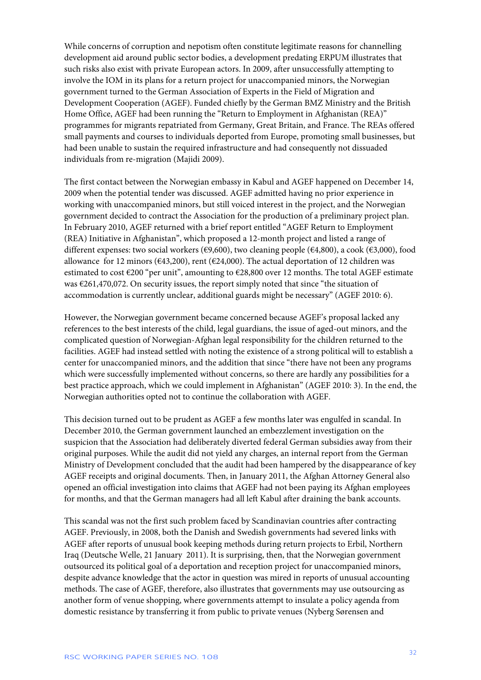While concerns of corruption and nepotism often constitute legitimate reasons for channelling development aid around public sector bodies, a development predating ERPUM illustrates that such risks also exist with private European actors. In 2009, after unsuccessfully attempting to involve the IOM in its plans for a return project for unaccompanied minors, the Norwegian government turned to the German Association of Experts in the Field of Migration and Development Cooperation (AGEF). Funded chiefly by the German BMZ Ministry and the British Home Office, AGEF had been running the "Return to Employment in Afghanistan (REA)" programmes for migrants repatriated from Germany, Great Britain, and France. The REAs offered small payments and courses to individuals deported from Europe, promoting small businesses, but had been unable to sustain the required infrastructure and had consequently not dissuaded individuals from re-migration (Majidi 2009).

The first contact between the Norwegian embassy in Kabul and AGEF happened on December 14, 2009 when the potential tender was discussed. AGEF admitted having no prior experience in working with unaccompanied minors, but still voiced interest in the project, and the Norwegian government decided to contract the Association for the production of a preliminary project plan. In February 2010, AGEF returned with a brief report entitled "AGEF Return to Employment (REA) Initiative in Afghanistan", which proposed a 12-month project and listed a range of different expenses: two social workers ( $\epsilon$ 9,600), two cleaning people ( $\epsilon$ 4,800), a cook ( $\epsilon$ 3,000), food allowance for 12 minors ( $643,200$ ), rent ( $624,000$ ). The actual deportation of 12 children was estimated to cost €200 "per unit", amounting to €28,800 over 12 months. The total AGEF estimate was €261,470,072. On security issues, the report simply noted that since "the situation of accommodation is currently unclear, additional guards might be necessary" (AGEF 2010: 6).

However, the Norwegian government became concerned because AGEF's proposal lacked any references to the best interests of the child, legal guardians, the issue of aged-out minors, and the complicated question of Norwegian-Afghan legal responsibility for the children returned to the facilities. AGEF had instead settled with noting the existence of a strong political will to establish a center for unaccompanied minors, and the addition that since "there have not been any programs which were successfully implemented without concerns, so there are hardly any possibilities for a best practice approach, which we could implement in Afghanistan" (AGEF 2010: 3). In the end, the Norwegian authorities opted not to continue the collaboration with AGEF.

This decision turned out to be prudent as AGEF a few months later was engulfed in scandal. In December 2010, the German government launched an embezzlement investigation on the suspicion that the Association had deliberately diverted federal German subsidies away from their original purposes. While the audit did not yield any charges, an internal report from the German Ministry of Development concluded that the audit had been hampered by the disappearance of key AGEF receipts and original documents. Then, in January 2011, the Afghan Attorney General also opened an official investigation into claims that AGEF had not been paying its Afghan employees for months, and that the German managers had all left Kabul after draining the bank accounts.

This scandal was not the first such problem faced by Scandinavian countries after contracting AGEF. Previously, in 2008, both the Danish and Swedish governments had severed links with AGEF after reports of unusual book keeping methods during return projects to Erbil, Northern Iraq (Deutsche Welle, 21 January 2011). It is surprising, then, that the Norwegian government outsourced its political goal of a deportation and reception project for unaccompanied minors, despite advance knowledge that the actor in question was mired in reports of unusual accounting methods. The case of AGEF, therefore, also illustrates that governments may use outsourcing as another form of venue shopping, where governments attempt to insulate a policy agenda from domestic resistance by transferring it from public to private venues (Nyberg Sørensen and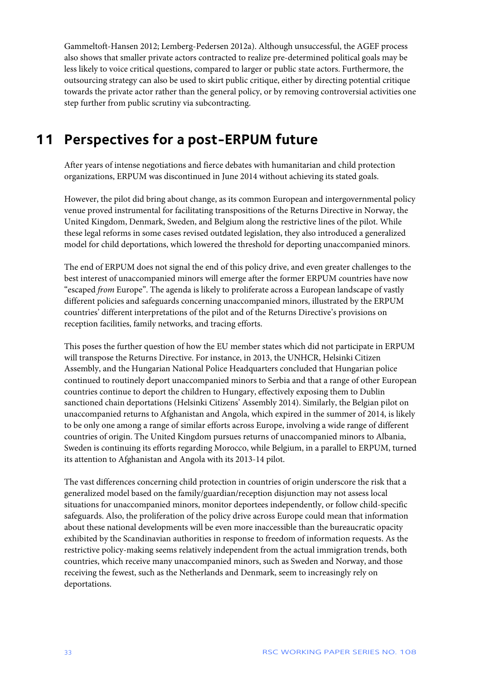Gammeltoft-Hansen 2012; Lemberg-Pedersen 2012a). Although unsuccessful, the AGEF process also shows that smaller private actors contracted to realize pre-determined political goals may be less likely to voice critical questions, compared to larger or public state actors. Furthermore, the outsourcing strategy can also be used to skirt public critique, either by directing potential critique towards the private actor rather than the general policy, or by removing controversial activities one step further from public scrutiny via subcontracting.

# <span id="page-33-0"></span>**11 Perspectives for a post-ERPUM future**

After years of intense negotiations and fierce debates with humanitarian and child protection organizations, ERPUM was discontinued in June 2014 without achieving its stated goals.

However, the pilot did bring about change, as its common European and intergovernmental policy venue proved instrumental for facilitating transpositions of the Returns Directive in Norway, the United Kingdom, Denmark, Sweden, and Belgium along the restrictive lines of the pilot. While these legal reforms in some cases revised outdated legislation, they also introduced a generalized model for child deportations, which lowered the threshold for deporting unaccompanied minors.

The end of ERPUM does not signal the end of this policy drive, and even greater challenges to the best interest of unaccompanied minors will emerge after the former ERPUM countries have now "escaped *from* Europe". The agenda is likely to proliferate across a European landscape of vastly different policies and safeguards concerning unaccompanied minors, illustrated by the ERPUM countries' different interpretations of the pilot and of the Returns Directive's provisions on reception facilities, family networks, and tracing efforts.

This poses the further question of how the EU member states which did not participate in ERPUM will transpose the Returns Directive. For instance, in 2013, the UNHCR, Helsinki Citizen Assembly, and the Hungarian National Police Headquarters concluded that Hungarian police continued to routinely deport unaccompanied minors to Serbia and that a range of other European countries continue to deport the children to Hungary, effectively exposing them to Dublin sanctioned chain deportations (Helsinki Citizens' Assembly 2014). Similarly, the Belgian pilot on unaccompanied returns to Afghanistan and Angola, which expired in the summer of 2014, is likely to be only one among a range of similar efforts across Europe, involving a wide range of different countries of origin. The United Kingdom pursues returns of unaccompanied minors to Albania, Sweden is continuing its efforts regarding Morocco, while Belgium, in a parallel to ERPUM, turned its attention to Afghanistan and Angola with its 2013-14 pilot.

The vast differences concerning child protection in countries of origin underscore the risk that a generalized model based on the family/guardian/reception disjunction may not assess local situations for unaccompanied minors, monitor deportees independently, or follow child-specific safeguards. Also, the proliferation of the policy drive across Europe could mean that information about these national developments will be even more inaccessible than the bureaucratic opacity exhibited by the Scandinavian authorities in response to freedom of information requests. As the restrictive policy-making seems relatively independent from the actual immigration trends, both countries, which receive many unaccompanied minors, such as Sweden and Norway, and those receiving the fewest, such as the Netherlands and Denmark, seem to increasingly rely on deportations.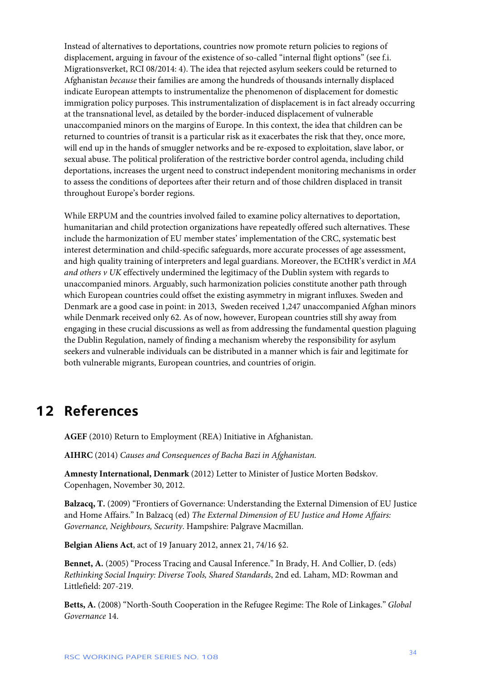Instead of alternatives to deportations, countries now promote return policies to regions of displacement, arguing in favour of the existence of so-called "internal flight options" (see f.i. Migrationsverket, RCI 08/2014: 4). The idea that rejected asylum seekers could be returned to Afghanistan *because* their families are among the hundreds of thousands internally displaced indicate European attempts to instrumentalize the phenomenon of displacement for domestic immigration policy purposes. This instrumentalization of displacement is in fact already occurring at the transnational level, as detailed by the border-induced displacement of vulnerable unaccompanied minors on the margins of Europe. In this context, the idea that children can be returned to countries of transit is a particular risk as it exacerbates the risk that they, once more, will end up in the hands of smuggler networks and be re-exposed to exploitation, slave labor, or sexual abuse. The political proliferation of the restrictive border control agenda, including child deportations, increases the urgent need to construct independent monitoring mechanisms in order to assess the conditions of deportees after their return and of those children displaced in transit throughout Europe's border regions.

While ERPUM and the countries involved failed to examine policy alternatives to deportation, humanitarian and child protection organizations have repeatedly offered such alternatives. These include the harmonization of EU member states' implementation of the CRC, systematic best interest determination and child-specific safeguards, more accurate processes of age assessment, and high quality training of interpreters and legal guardians. Moreover, the ECtHR's verdict in *MA and others v UK* effectively undermined the legitimacy of the Dublin system with regards to unaccompanied minors. Arguably, such harmonization policies constitute another path through which European countries could offset the existing asymmetry in migrant influxes. Sweden and Denmark are a good case in point: in 2013, Sweden received 1,247 unaccompanied Afghan minors while Denmark received only 62. As of now, however, European countries still shy away from engaging in these crucial discussions as well as from addressing the fundamental question plaguing the Dublin Regulation, namely of finding a mechanism whereby the responsibility for asylum seekers and vulnerable individuals can be distributed in a manner which is fair and legitimate for both vulnerable migrants, European countries, and countries of origin.

### <span id="page-34-0"></span>**12 References**

**AGEF** (2010) Return to Employment (REA) Initiative in Afghanistan.

**AIHRC** (2014) *Causes and Consequences of Bacha Bazi in Afghanistan.*

**Amnesty International, Denmark** (2012) Letter to Minister of Justice Morten Bødskov. Copenhagen, November 30, 2012.

**Balzacq, T.** (2009) "Frontiers of Governance: Understanding the External Dimension of EU Justice and Home Affairs." In Balzacq (ed) *The External Dimension of EU Justice and Home Affairs: Governance, Neighbours, Security*. Hampshire: Palgrave Macmillan.

**Belgian Aliens Act**, act of 19 January 2012, annex 21, 74/16 §2.

**Bennet, A.** (2005) "Process Tracing and Causal Inference." In Brady, H. And Collier, D. (eds) *Rethinking Social Inquiry: Diverse Tools, Shared Standards*, 2nd ed. Laham, MD: Rowman and Littlefield: 207-219.

**Betts, A.** (2008) "North-South Cooperation in the Refugee Regime: The Role of Linkages." *Global Governance* 14.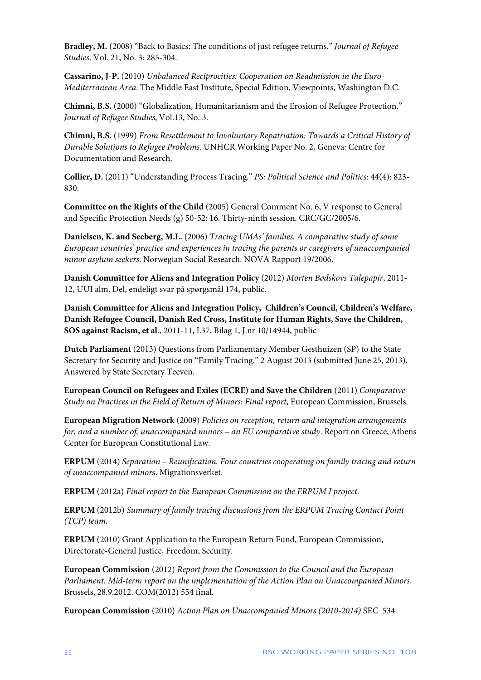**Bradley, M.** (2008) "Back to Basics: The conditions of just refugee returns." *Journal of Refugee Studies*. Vol. 21, No. 3: 285-304.

**Cassarino, J-P.** (2010) *Unbalanced Reciprocities: Cooperation on Readmission in the Euro-Mediterranean Area*. The Middle East Institute, Special Edition, Viewpoints, Washington D.C.

**Chimni, B.S.** (2000) "Globalization, Humanitarianism and the Erosion of Refugee Protection." *Journal of Refugee Studies*, Vol.13, No. 3.

**Chimni, B.S.** (1999) *From Resettlement to Involuntary Repatriation: Towards a Critical History of Durable Solutions to Refugee Problems*. UNHCR Working Paper No. 2, Geneva: Centre for Documentation and Research.

**Collier, D.** (2011) "Understanding Process Tracing." *PS: Political Science and Politics*: 44(4): 823- 830.

**Committee on the Rights of the Child** (2005) General Comment No. 6, V response to General and Specific Protection Needs (g) 50-52: 16. Thirty-ninth session. CRC/GC/2005/6.

**Danielsen, K. and Seeberg, M.L.** (2006) *Tracing UMAs' families. A comparative study of some European countries' practice and experiences in tracing the parents or caregivers of unaccompanied minor asylum seekers*. Norwegian Social Research. NOVA Rapport 19/2006.

**Danish Committee for Aliens and Integration Policy** (2012) *Morten Bødskovs Talepapir*, 2011- 12, UUI alm. Del, endeligt svar på spørgsmål 174, public.

**Danish Committee for Aliens and Integration Policy, Children's Council, Children's Welfare, Danish Refugee Council, Danish Red Cross, Institute for Human Rights, Save the Children, SOS against Racism, et al.**, 2011-11, L37, Bilag 1, J.nr 10/14944, public

**Dutch Parliament** (2013) Questions from Parliamentary Member Gesthuizen (SP) to the State Secretary for Security and Justice on "Family Tracing." 2 August 2013 (submitted June 25, 2013). Answered by State Secretary Teeven.

**European Council on Refugees and Exiles (ECRE) and Save the Children** (2011) *Comparative Study on Practices in the Field of Return of Minors: Final report*, European Commission, Brussels.

**European Migration Network** (2009) *Policies on reception, return and integration arrangements for, and a number of, unaccompanied minors – an EU comparative study*. Report on Greece, Athens Center for European Constitutional Law.

**ERPUM** (2014) *Separation – Reunification. Four countries cooperating on family tracing and return of unaccompanied minor*s. Migrationsverket.

**ERPUM** (2012a) *Final report to the European Commission on the ERPUM I project*.

**ERPUM** (2012b) *Summary of family tracing discussions from the ERPUM Tracing Contact Point (TCP) team.*

**ERPUM** (2010) Grant Application to the European Return Fund, European Commission, Directorate-General Justice, Freedom, Security.

**European Commission** (2012) *Report from the Commission to the Council and the European Parliament. Mid-term report on the implementation of the Action Plan on Unaccompanied Minors*. Brussels, 28.9.2012. COM(2012) 554 final.

**European Commission** (2010) *Action Plan on Unaccompanied Minors (2010-2014)* SEC 534.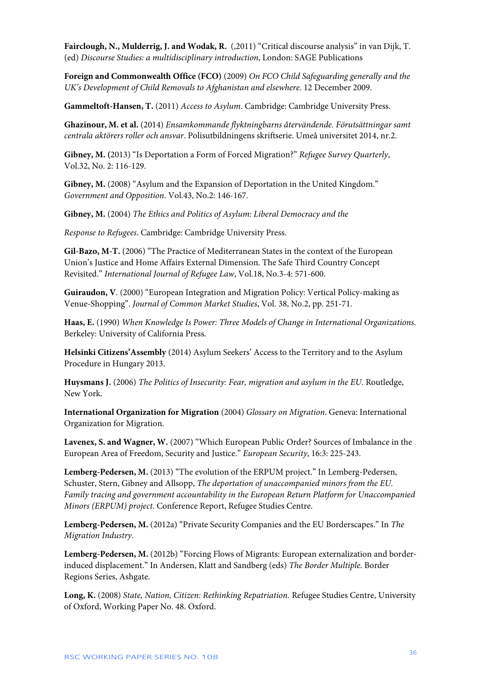**Fairclough, N., Mulderrig, J. and Wodak, R.** (,2011) "Critical discourse analysis" in van Dijk, T. (ed) *Discourse Studies: a multidisciplinary introduction*, London: SAGE Publications

**Foreign and Commonwealth Office (FCO)** (2009) *On FCO Child Safeguarding generally and the UK's Development of Child Removals to Afghanistan and elsewhere*. 12 December 2009.

**Gammeltoft-Hansen, T.** (2011) *Access to Asylum*. Cambridge: Cambridge University Press.

**Ghazinour, M. et al.** (2014) *Ensamkommande flyktningbarns återvändende. Förutsättningar samt centrala aktörers roller och ansvar*. Polisutbildningens skriftserie. Umeå universitet 2014, nr.2.

**Gibney, M. (**2013) "Is Deportation a Form of Forced Migration?" *Refugee Survey Quarterly*, Vol.32, No. 2: 116-129.

**Gibney, M.** (2008) "Asylum and the Expansion of Deportation in the United Kingdom." *Government and Opposition*. Vol.43, No.2: 146-167.

**Gibney, M.** (2004) *The Ethics and Politics of Asylum: Liberal Democracy and the*

*Response to Refugees*. Cambridge: Cambridge University Press.

**Gil-Bazo, M-T.** (2006) "The Practice of Mediterranean States in the context of the European Union's Justice and Home Affairs External Dimension. The Safe Third Country Concept Revisited." *International Journal of Refugee Law*, Vol.18, No.3-4: 571-600.

**Guiraudon, V**. (2000) "European Integration and Migration Policy: Vertical Policy-making as Venue-Shopping". *Journal of Common Market Studies*, Vol. 38, No.2, pp. 251-71.

**Haas, E.** (1990) *When Knowledge Is Power: Three Models of Change in International Organizations*. Berkeley: University of California Press.

**Helsinki Citizens'Assembly** (2014) Asylum Seekers' Access to the Territory and to the Asylum Procedure in Hungary 2013.

**Huysmans J.** (2006) *The Politics of Insecurity: Fear, migration and asylum in the EU*. Routledge, New York.

**International Organization for Migration** (2004) *Glossary on Migration*. Geneva: International Organization for Migration.

**Lavenex, S. and Wagner, W.** (2007) "Which European Public Order? Sources of Imbalance in the European Area of Freedom, Security and Justice." *European Security*, 16:3: 225-243.

**Lemberg-Pedersen, M.** (2013) "The evolution of the ERPUM project." In Lemberg-Pedersen, Schuster, Stern, Gibney and Allsopp, *The deportation of unaccompanied minors from the EU. Family tracing and government accountability in the European Return Platform for Unaccompanied Minors (ERPUM) project*. Conference Report, Refugee Studies Centre.

**Lemberg-Pedersen, M.** (2012a) "Private Security Companies and the EU Borderscapes." In *The Migration Industry*.

**Lemberg-Pedersen, M.** (2012b) "Forcing Flows of Migrants: European externalization and borderinduced displacement." In Andersen, Klatt and Sandberg (eds) *The Border Multiple*. Border Regions Series, Ashgate.

**Long, K.** (2008) *State, Nation, Citizen: Rethinking Repatriation.* Refugee Studies Centre, University of Oxford, Working Paper No. 48. Oxford.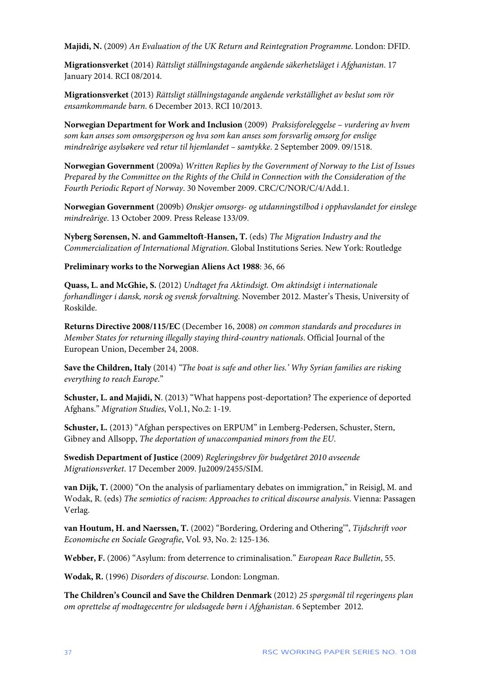**Majidi, N.** (2009) *An Evaluation of the UK Return and Reintegration Programme*. London: DFID.

**Migrationsverket** (2014) *Rättsligt ställningstagande angående säkerhetsläget i Afghanistan*. 17 January 2014. RCI 08/2014.

**Migrationsverket** (2013) *Rättsligt ställningstagande angående verkställighet av beslut som rör ensamkommande barn*. 6 December 2013. RCI 10/2013.

**Norwegian Department for Work and Inclusion** (2009) *Praksisforeleggelse – vurdering av hvem som kan anses som omsorgsperson og hva som kan anses som forsvarlig omsorg for enslige mindreårige asylsøkere ved retur til hjemlandet – samtykke*. 2 September 2009. 09/1518.

**Norwegian Government** (2009a) *Written Replies by the Government of Norway to the List of Issues Prepared by the Committee on the Rights of the Child in Connection with the Consideration of the Fourth Periodic Report of Norway*. 30 November 2009. CRC/C/NOR/C/4/Add.1.

**Norwegian Government** (2009b) *Ønskjer omsorgs- og utdanningstilbod i opphavslandet for einslege mindreårige*. 13 October 2009. Press Release 133/09.

**Nyberg Sørensen, N. and Gammeltoft-Hansen, T.** (eds) *The Migration Industry and the Commercialization of International Migration*. Global Institutions Series. New York: Routledge

**Preliminary works to the Norwegian Aliens Act 1988**: 36, 66

**Quass, L. and McGhie, S.** (2012) *Undtaget fra Aktindsigt. Om aktindsigt i internationale forhandlinger i dansk, norsk og svensk forvaltning*. November 2012. Master's Thesis, University of Roskilde.

**Returns Directive 2008/115/EC** (December 16, 2008) *on common standards and procedures in Member States for returning illegally staying third-country nationals*. Official Journal of the European Union, December 24, 2008.

**Save the Children, Italy** (2014) *"The boat is safe and other lies.' Why Syrian families are risking everything to reach Europe*."

**Schuster, L. and Majidi, N**. (2013) "What happens post-deportation? The experience of deported Afghans." *Migration Studies*, Vol.1, No.2: 1-19.

**Schuster, L.** (2013) "Afghan perspectives on ERPUM" in Lemberg-Pedersen, Schuster, Stern, Gibney and Allsopp, *The deportation of unaccompanied minors from the EU*.

**Swedish Department of Justice** (2009) *Regleringsbrev för budgetåret 2010 avseende Migrationsverket*. 17 December 2009. Ju2009/2455/SIM.

**van Dijk, T.** (2000) "On the analysis of parliamentary debates on immigration," in Reisigl, M. and Wodak, R. (eds) *The semiotics of racism: Approaches to critical discourse analysis*. Vienna: Passagen Verlag.

**van Houtum, H. and Naerssen, T.** (2002) "Bordering, Ordering and Othering'", *Tijdschrift voor Economische en Sociale Geografie*, Vol. 93, No. 2: 125-136.

**Webber, F.** (2006) "Asylum: from deterrence to criminalisation." *European Race Bulletin*, 55.

**Wodak, R.** (1996) *Disorders of discourse*. London: Longman.

**The Children's Council and Save the Children Denmark** (2012) *25 spørgsmål til regeringens plan om oprettelse af modtagecentre for uledsagede børn i Afghanistan*. 6 September 2012.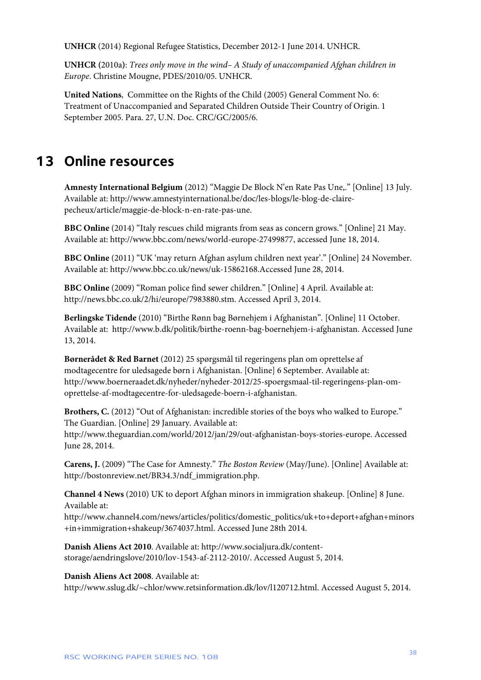**UNHCR** (2014) Regional Refugee Statistics, December 2012-1 June 2014. UNHCR.

**UNHCR (**2010a**)**: *Trees only move in the wind– A Study of unaccompanied Afghan children in Europe*. Christine Mougne, PDES/2010/05. UNHCR.

**United Nations**, Committee on the Rights of the Child (2005) General Comment No. 6: Treatment of Unaccompanied and Separated Children Outside Their Country of Origin. 1 September 2005. Para. 27, U.N. Doc. CRC/GC/2005/6.

### <span id="page-38-0"></span>**13 Online resources**

**Amnesty International Belgium** (2012) "Maggie De Block N'en Rate Pas Une,." [Online] 13 July. Available at: http://www.amnestyinternational.be/doc/les-blogs/le-blog-de-clairepecheux/article/maggie-de-block-n-en-rate-pas-une.

**BBC Online** (2014) "Italy rescues child migrants from seas as concern grows." [Online] 21 May. Available at: http://www.bbc.com/news/world-europe-27499877, accessed June 18, 2014.

**BBC Online** (2011) "UK 'may return Afghan asylum children next year'." [Online] 24 November. Available at: http://www.bbc.co.uk/news/uk-15862168.Accessed June 28, 2014.

**BBC Online** (2009) "Roman police find sewer children." [Online] 4 April. Available at: http://news.bbc.co.uk/2/hi/europe/7983880.stm. Accessed April 3, 2014.

**Berlingske Tidende** (2010) "Birthe Rønn bag Børnehjem i Afghanistan"*.* [Online] 11 October. Available at: http://www.b.dk/politik/birthe-roenn-bag-boernehjem-i-afghanistan. Accessed June 13, 2014.

**Børnerådet & Red Barnet** (2012) 25 spørgsmål til regeringens plan om oprettelse af modtagecentre for uledsagede børn i Afghanistan. [Online] 6 September. Available at: http://www.boerneraadet.dk/nyheder/nyheder-2012/25-spoergsmaal-til-regeringens-plan-omoprettelse-af-modtagecentre-for-uledsagede-boern-i-afghanistan.

Brothers, C. (2012) "Out of Afghanistan: incredible stories of the boys who walked to Europe." The Guardian. [Online] 29 January. Available at: http://www.theguardian.com/world/2012/jan/29/out-afghanistan-boys-stories-europe. Accessed

June 28, 2014.

**Carens, J.** (2009) "The Case for Amnesty." *The Boston Review* (May/June). [Online] Available at: http://bostonreview.net/BR34.3/ndf\_immigration.php.

**Channel 4 News** (2010) UK to deport Afghan minors in immigration shakeup. [Online] 8 June. Available at:

http://www.channel4.com/news/articles/politics/domestic\_politics/uk+to+deport+afghan+minors +in+immigration+shakeup/3674037.html. Accessed June 28th 2014.

**Danish Aliens Act 2010**. Available at: http://www.socialjura.dk/contentstorage/aendringslove/2010/lov-1543-af-2112-2010/. Accessed August 5, 2014.

**Danish Aliens Act 2008**. Available at:

http://www.sslug.dk/~chlor/www.retsinformation.dk/lov/l120712.html. Accessed August 5, 2014.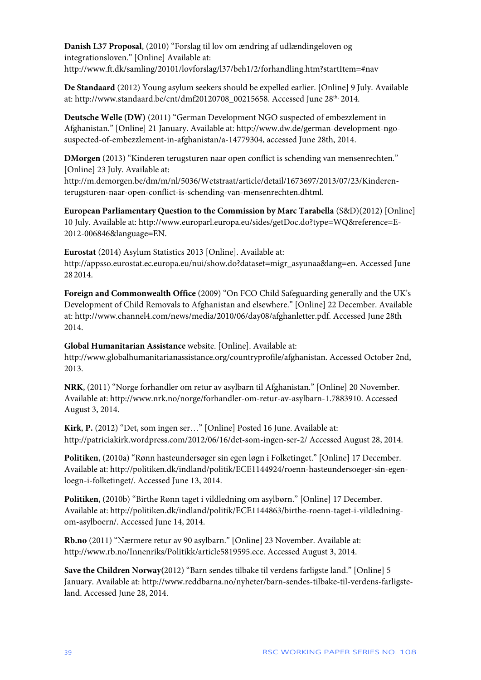**Danish L37 Proposal**, (2010) "Forslag til lov om ændring af udlændingeloven og integrationsloven." [Online] Available at: http://www.ft.dk/samling/20101/lovforslag/l37/beh1/2/forhandling.htm?startItem=#nav

**De Standaard** (2012) Young asylum seekers should be expelled earlier. [Online] 9 July. Available at: http://www.standaard.be/cnt/dmf20120708\_00215658. Accessed June 28<sup>th,</sup> 2014.

**Deutsche Welle (DW)** (2011) "German Development NGO suspected of embezzlement in Afghanistan." [Online] 21 January. Available at: http://www.dw.de/german-development-ngosuspected-of-embezzlement-in-afghanistan/a-14779304, accessed June 28th, 2014.

**DMorgen** (2013) "Kinderen terugsturen naar open conflict is schending van mensenrechten*.*" [Online] 23 July. Available at:

http://m.demorgen.be/dm/m/nl/5036/Wetstraat/article/detail/1673697/2013/07/23/Kinderenterugsturen-naar-open-conflict-is-schending-van-mensenrechten.dhtml.

**European Parliamentary Question to the Commission by Marc Tarabella** (S&D)(2012) [Online] 10 July. Available at: http://www.europarl.europa.eu/sides/getDoc.do?type=WQ&reference=E-2012-006846&language=EN.

**Eurostat** (2014) Asylum Statistics 2013 [Online]. Available at: http://appsso.eurostat.ec.europa.eu/nui/show.do?dataset=migr\_asyunaa&lang=en. Accessed June 28 2014.

**Foreign and Commonwealth Office** (2009) "On FCO Child Safeguarding generally and the UK's Development of Child Removals to Afghanistan and elsewhere." [Online] 22 December. Available at: http://www.channel4.com/news/media/2010/06/day08/afghanletter.pdf. Accessed June 28th 2014.

**Global Humanitarian Assistance** website. [Online]. Available at: http://www.globalhumanitarianassistance.org/countryprofile/afghanistan. Accessed October 2nd, 2013.

**NRK**, (2011) "Norge forhandler om retur av asylbarn til Afghanistan." [Online] 20 November. Available at: http://www.nrk.no/norge/forhandler-om-retur-av-asylbarn-1.7883910. Accessed August 3, 2014.

**Kirk**, **P.** (2012) "Det, som ingen ser…" [Online] Posted 16 June. Available at: http://patriciakirk.wordpress.com/2012/06/16/det-som-ingen-ser-2/ Accessed August 28, 2014.

**Politiken**, (2010a) "Rønn hasteundersøger sin egen løgn i Folketinget." [Online] 17 December. Available at: http://politiken.dk/indland/politik/ECE1144924/roenn-hasteundersoeger-sin-egenloegn-i-folketinget/. Accessed June 13, 2014.

**Politiken**, (2010b) "Birthe Rønn taget i vildledning om asylbørn." [Online] 17 December. Available at: http://politiken.dk/indland/politik/ECE1144863/birthe-roenn-taget-i-vildledningom-asylboern/. Accessed June 14, 2014.

**Rb.no** (2011) "Nærmere retur av 90 asylbarn." [Online] 23 November. Available at: http://www.rb.no/Innenriks/Politikk/article5819595.ece. Accessed August 3, 2014.

**Save the Children Norway(**2012) "Barn sendes tilbake til verdens farligste land." [Online] 5 January. Available at: http://www.reddbarna.no/nyheter/barn-sendes-tilbake-til-verdens-farligsteland. Accessed June 28, 2014.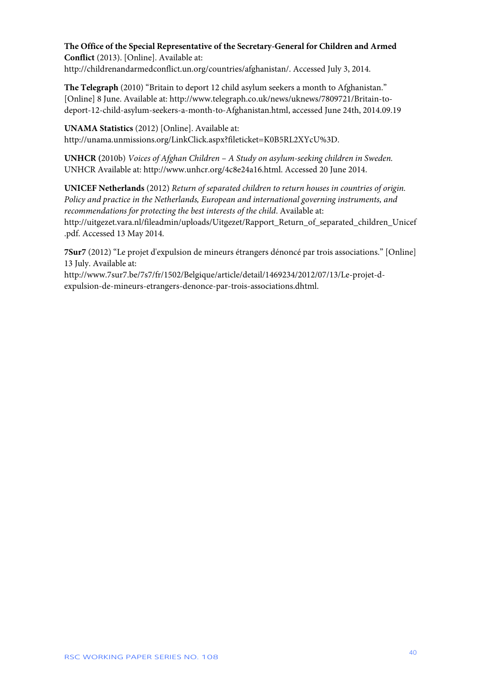### **The Office of the Special Representative of the Secretary-General for Children and Armed Conflict** (2013). [Online]. Available at:

http://childrenandarmedconflict.un.org/countries/afghanistan/. Accessed July 3, 2014.

**The Telegraph** (2010) "Britain to deport 12 child asylum seekers a month to Afghanistan." [Online] 8 June. Available at: http://www.telegraph.co.uk/news/uknews/7809721/Britain-todeport-12-child-asylum-seekers-a-month-to-Afghanistan.html, accessed June 24th, 2014.09.19

**UNAMA Statistics** (2012) [Online]. Available at: http://unama.unmissions.org/LinkClick.aspx?fileticket=K0B5RL2XYcU%3D.

**UNHCR (**2010b) *Voices of Afghan Children* – *A Study on asylum-seeking children in Sweden.* UNHCR Available at: http://www.unhcr.org/4c8e24a16.html. Accessed 20 June 2014.

**UNICEF Netherlands** (2012) *Return of separated children to return houses in countries of origin. Policy and practice in the Netherlands, European and international governing instruments, and recommendations for protecting the best interests of the child*. Available at: http://uitgezet.vara.nl/fileadmin/uploads/Uitgezet/Rapport\_Return\_of\_separated\_children\_Unicef .pdf. Accessed 13 May 2014.

**7Sur7** (2012) "Le projet d'expulsion de mineurs étrangers dénoncé par trois associations." [Online] 13 July. Available at:

http://www.7sur7.be/7s7/fr/1502/Belgique/article/detail/1469234/2012/07/13/Le-projet-dexpulsion-de-mineurs-etrangers-denonce-par-trois-associations.dhtml.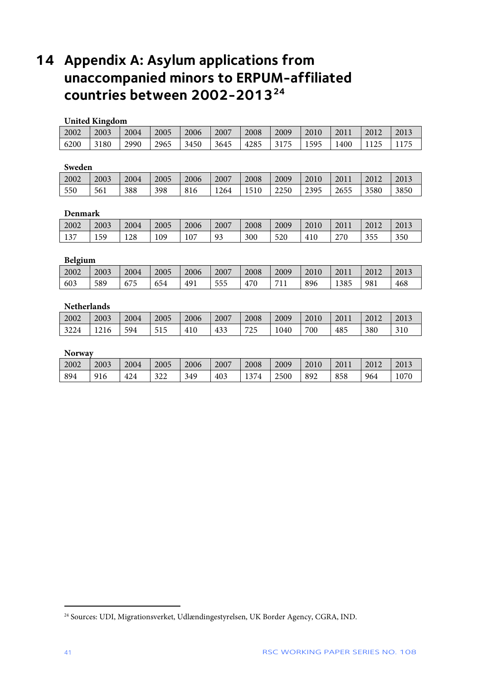# <span id="page-41-0"></span> **Appendix A: Asylum applications from unaccompanied minors to ERPUM-affiliated countries between 2002-2013[24](#page-41-1)**

#### **United Kingdom**

| 2002 | 2003 | 2004 | 2005 | 2006 | 2007 | 2008 | 2009 | 2010 | 1201. | 2012 | 2013 |
|------|------|------|------|------|------|------|------|------|-------|------|------|
| 6200 | 3180 | 2990 | 2965 | 3450 | 3645 | 4285 | 3175 | 1595 | 1400  |      | 1175 |

### **Sweden**

| ----------- |      |      |      |      |      |      |      |      |        |      |      |
|-------------|------|------|------|------|------|------|------|------|--------|------|------|
| 2002        | 2003 | 2004 | 2005 | 2006 | 2007 | 2008 | 2009 | 2010 | $-201$ | 2012 | 2013 |
| 550         | 561  | 388  | 398  | 816  | 1264 | 1510 | 2250 | 2395 | 2655   | 3580 | 3850 |

#### **Denmark**

| 2002 | 2003 | 2004 | 2005 | 2006 | 2007                  | 2008 | 2009 | 2010 | 201 | 2012 | 2013 |
|------|------|------|------|------|-----------------------|------|------|------|-----|------|------|
| 137  | 159  | 128  | .09  | 107  | Q <sub>2</sub><br>ر ر | 300  | 520  | 410  | 270 | 355  | 350  |

#### **Belgium**

| 2002<br>2003<br>2004<br>2007<br>2005<br>2008<br>2009<br>2013<br>2006<br>2012<br>2010<br>20.<br>1385<br>468<br>589<br>491<br>470<br>$\sqrt{2}$<br>896<br>603<br>555<br>981<br>711<br>654<br>6/5<br><b>TT</b> |  |  |  |  |  |  |
|-------------------------------------------------------------------------------------------------------------------------------------------------------------------------------------------------------------|--|--|--|--|--|--|
|                                                                                                                                                                                                             |  |  |  |  |  |  |
|                                                                                                                                                                                                             |  |  |  |  |  |  |

### **Netherlands**

| 2002 | 2003 | 2004 | 2005 | 2006 | 2007 | 2008 | 2009 | 2010 | 2011 | 2012 | 2013 |
|------|------|------|------|------|------|------|------|------|------|------|------|
| 3224 | 1210 | 594  | 515  | 410  | 433  | 725  | 1040 | 700  | 485  | 380  | 310  |

#### **Norway**

| 2002 | 2003 | 2004 | 2005       | 2006 | 2007 | 2008         | 2009 | 2010 | 201 <sub>h</sub> | 2012 | 2013 |
|------|------|------|------------|------|------|--------------|------|------|------------------|------|------|
| 894  | 916  | 424  | 200<br>ططر | 349  | 403  | 374<br>1 J I | 2500 | 892  | 858              | 964  | 1070 |

<span id="page-41-1"></span>Sources: UDI, Migrationsverket, Udlændingestyrelsen, UK Border Agency, CGRA, IND.